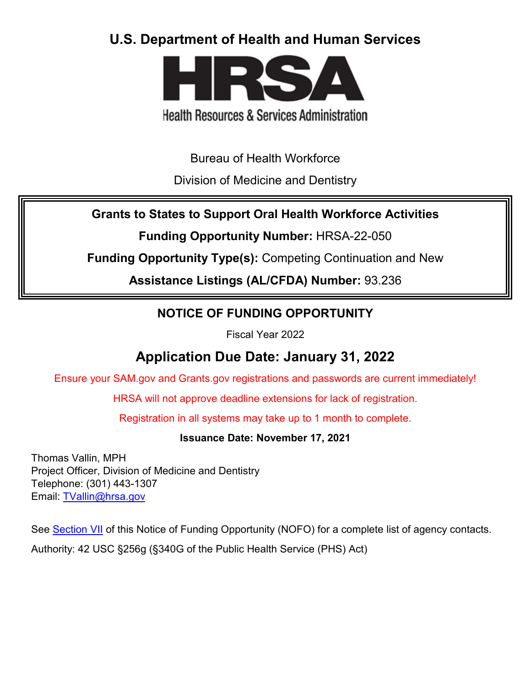# **U.S. Department of Health and Human Services**



# **Health Resources & Services Administration**

Bureau of Health Workforce

Division of Medicine and Dentistry

**Grants to States to Support Oral Health Workforce Activities**

**Funding Opportunity Number:** HRSA-22-050

**Funding Opportunity Type(s):** Competing Continuation and New

**Assistance Listings (AL/CFDA) Number:** 93.236

# **NOTICE OF FUNDING OPPORTUNITY**

Fiscal Year 2022

# **Application Due Date: January 31, 2022**

Ensure your SAM.gov and Grants.gov registrations and passwords are current immediately!

HRSA will not approve deadline extensions for lack of registration.

Registration in all systems may take up to 1 month to complete.

**Issuance Date: November 17, 2021**

Thomas Vallin, MPH Project Officer, Division of Medicine and Dentistry Telephone: (301) 443-1307 Email: [TVallin@hrsa.gov](mailto:TVallin@hrsa.gov) 

See [Section VII](#page-47-0) of this Notice of Funding Opportunity (NOFO) for a complete list of agency contacts.

Authority: 42 USC §256g (§340G of the Public Health Service (PHS) Act)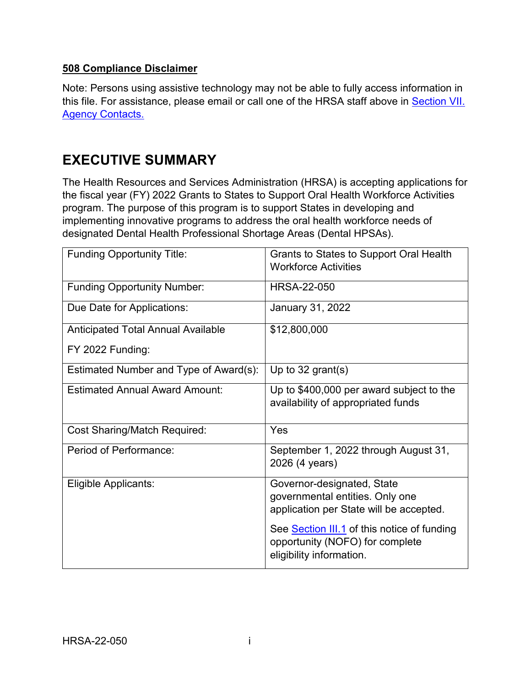#### **508 Compliance Disclaimer**

Note: Persons using assistive technology may not be able to fully access information in this file. For assistance, please email or call one of the HRSA staff above in [Section VII.](#page-47-0)  [Agency Contacts.](#page-47-0)

# **EXECUTIVE SUMMARY**

The Health Resources and Services Administration (HRSA) is accepting applications for the fiscal year (FY) 2022 Grants to States to Support Oral Health Workforce Activities program. The purpose of this program is to support States in developing and implementing innovative programs to address the oral health workforce needs of designated Dental Health Professional Shortage Areas (Dental HPSAs).

| <b>Funding Opportunity Title:</b>      | Grants to States to Support Oral Health<br><b>Workforce Activities</b>                                     |
|----------------------------------------|------------------------------------------------------------------------------------------------------------|
| <b>Funding Opportunity Number:</b>     | <b>HRSA-22-050</b>                                                                                         |
| Due Date for Applications:             | January 31, 2022                                                                                           |
| Anticipated Total Annual Available     | \$12,800,000                                                                                               |
| FY 2022 Funding:                       |                                                                                                            |
| Estimated Number and Type of Award(s): | Up to $32$ grant(s)                                                                                        |
| <b>Estimated Annual Award Amount:</b>  | Up to \$400,000 per award subject to the<br>availability of appropriated funds                             |
| <b>Cost Sharing/Match Required:</b>    | Yes                                                                                                        |
| Period of Performance:                 | September 1, 2022 through August 31,<br>2026 (4 years)                                                     |
| Eligible Applicants:                   | Governor-designated, State<br>governmental entities. Only one<br>application per State will be accepted.   |
|                                        | See Section III.1 of this notice of funding<br>opportunity (NOFO) for complete<br>eligibility information. |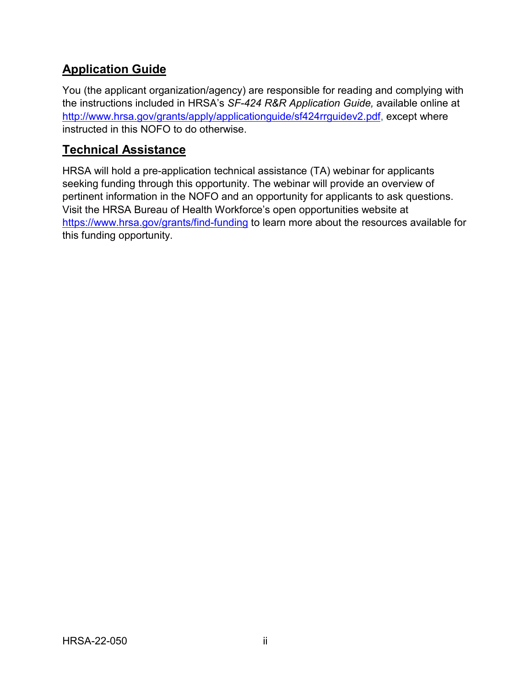# **Application Guide**

You (the applicant organization/agency) are responsible for reading and complying with the instructions included in HRSA's *SF-424 R&R Application Guide,* available online at [http://www.hrsa.gov/grants/apply/applicationguide/sf424rrguidev2.pdf,](http://www.hrsa.gov/grants/apply/applicationguide/sf424rrguidev2.pdf) except where instructed in this NOFO to do otherwise.

## **Technical Assistance**

HRSA will hold a pre-application technical assistance (TA) webinar for applicants seeking funding through this opportunity. The webinar will provide an overview of pertinent information in the NOFO and an opportunity for applicants to ask questions. Visit the HRSA Bureau of Health Workforce's open opportunities website at <https://www.hrsa.gov/grants/find-funding> to learn more about the resources available for this funding opportunity.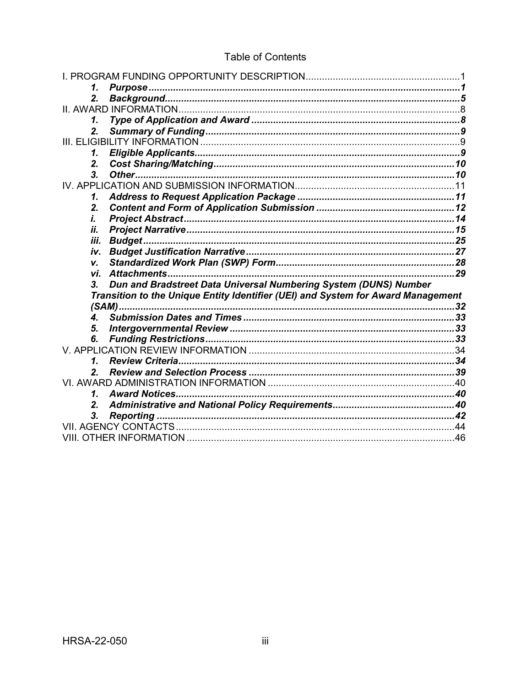| 1.                                                                               |    |  |
|----------------------------------------------------------------------------------|----|--|
| 2.                                                                               |    |  |
|                                                                                  |    |  |
| 1.                                                                               |    |  |
| 2.                                                                               |    |  |
|                                                                                  |    |  |
| 1.                                                                               |    |  |
| 2.                                                                               |    |  |
| 3.                                                                               |    |  |
|                                                                                  |    |  |
| 1.                                                                               |    |  |
| 2.                                                                               |    |  |
| i.                                                                               |    |  |
| ii.                                                                              |    |  |
| Budget<br>iii.                                                                   |    |  |
| iv.                                                                              |    |  |
| V.                                                                               |    |  |
| Attachments<br>vi.                                                               | 29 |  |
| Dun and Bradstreet Data Universal Numbering System (DUNS) Number<br>3.           |    |  |
| Transition to the Unique Entity Identifier (UEI) and System for Award Management |    |  |
|                                                                                  |    |  |
| $\mathbf{4}$                                                                     |    |  |
| 5.                                                                               |    |  |
| 6.                                                                               |    |  |
|                                                                                  |    |  |
| 1.                                                                               |    |  |
| 2.                                                                               |    |  |
|                                                                                  |    |  |
| <b>Award Notices</b><br>1.                                                       |    |  |
| 2.                                                                               |    |  |
| 3.                                                                               |    |  |
|                                                                                  |    |  |
|                                                                                  |    |  |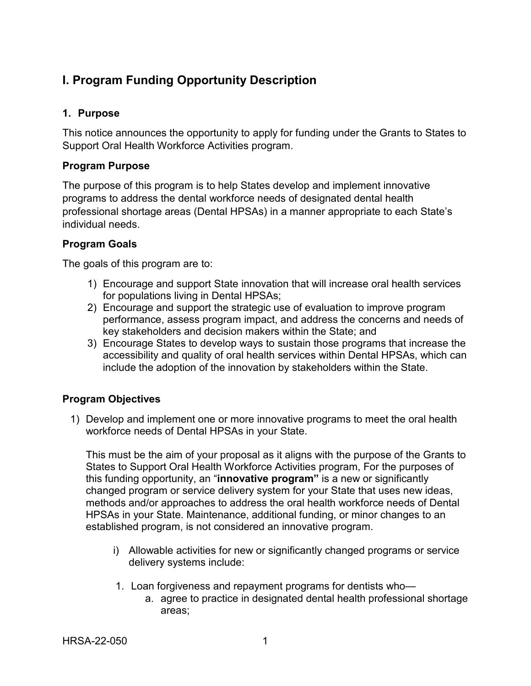# <span id="page-4-0"></span>**I. Program Funding Opportunity Description**

### <span id="page-4-1"></span>**1. Purpose**

This notice announces the opportunity to apply for funding under the Grants to States to Support Oral Health Workforce Activities program.

## **Program Purpose**

The purpose of this program is to help States develop and implement innovative programs to address the dental workforce needs of designated dental health professional shortage areas (Dental HPSAs) in a manner appropriate to each State's individual needs.

#### **Program Goals**

The goals of this program are to:

- 1) Encourage and support State innovation that will increase oral health services for populations living in Dental HPSAs;
- 2) Encourage and support the strategic use of evaluation to improve program performance, assess program impact, and address the concerns and needs of key stakeholders and decision makers within the State; and
- 3) Encourage States to develop ways to sustain those programs that increase the accessibility and quality of oral health services within Dental HPSAs, which can include the adoption of the innovation by stakeholders within the State.

## **Program Objectives**

1) Develop and implement one or more innovative programs to meet the oral health workforce needs of Dental HPSAs in your State.

This must be the aim of your proposal as it aligns with the purpose of the Grants to States to Support Oral Health Workforce Activities program, For the purposes of this funding opportunity, an "**innovative program"** is a new or significantly changed program or service delivery system for your State that uses new ideas, methods and/or approaches to address the oral health workforce needs of Dental HPSAs in your State. Maintenance, additional funding, or minor changes to an established program, is not considered an innovative program.

- i) Allowable activities for new or significantly changed programs or service delivery systems include:
- 1. Loan forgiveness and repayment programs for dentists who
	- a. agree to practice in designated dental health professional shortage areas;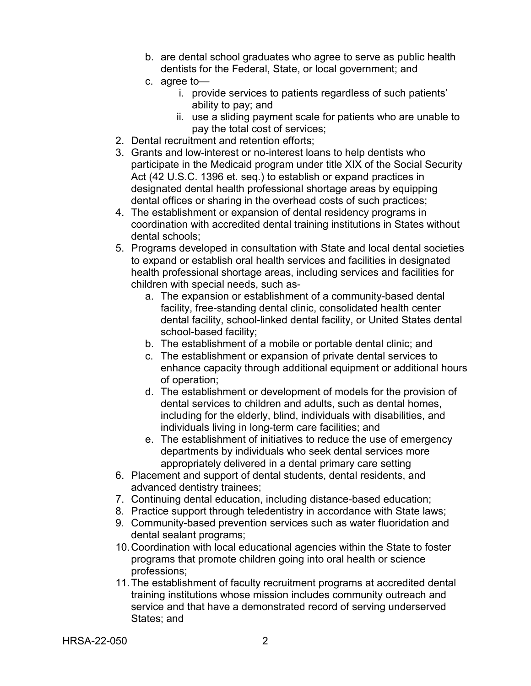- b. are dental school graduates who agree to serve as public health dentists for the Federal, State, or local government; and
- c. agree to
	- i. provide services to patients regardless of such patients' ability to pay; and
	- ii. use a sliding payment scale for patients who are unable to pay the total cost of services;
- 2. Dental recruitment and retention efforts;
- 3. Grants and low-interest or no-interest loans to help dentists who participate in the Medicaid program under title XIX of the Social Security Act (42 U.S.C. 1396 et. seq.) to establish or expand practices in designated dental health professional shortage areas by equipping dental offices or sharing in the overhead costs of such practices;
- 4. The establishment or expansion of dental residency programs in coordination with accredited dental training institutions in States without dental schools;
- 5. Programs developed in consultation with State and local dental societies to expand or establish oral health services and facilities in designated health professional shortage areas, including services and facilities for children with special needs, such as
	- a. The expansion or establishment of a community-based dental facility, free-standing dental clinic, consolidated health center dental facility, school-linked dental facility, or United States dental school-based facility;
	- b. The establishment of a mobile or portable dental clinic; and
	- c. The establishment or expansion of private dental services to enhance capacity through additional equipment or additional hours of operation;
	- d. The establishment or development of models for the provision of dental services to children and adults, such as dental homes, including for the elderly, blind, individuals with disabilities, and individuals living in long-term care facilities; and
	- e. The establishment of initiatives to reduce the use of emergency departments by individuals who seek dental services more appropriately delivered in a dental primary care setting
- 6. Placement and support of dental students, dental residents, and advanced dentistry trainees;
- 7. Continuing dental education, including distance-based education;
- 8. Practice support through teledentistry in accordance with State laws;
- 9. Community-based prevention services such as water fluoridation and dental sealant programs;
- 10.Coordination with local educational agencies within the State to foster programs that promote children going into oral health or science professions;
- 11.The establishment of faculty recruitment programs at accredited dental training institutions whose mission includes community outreach and service and that have a demonstrated record of serving underserved States; and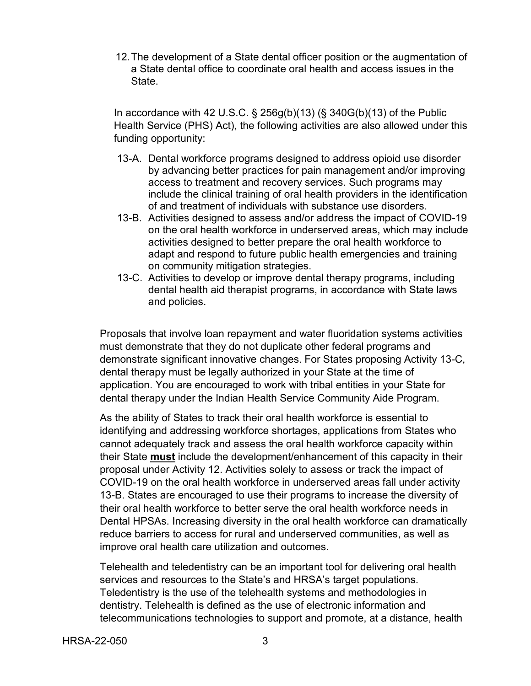12.The development of a State dental officer position or the augmentation of a State dental office to coordinate oral health and access issues in the State.

In accordance with 42 U.S.C.  $\S$  256g(b)(13) ( $\S$  340G(b)(13) of the Public Health Service (PHS) Act), the following activities are also allowed under this funding opportunity:

- 13-A. Dental workforce programs designed to address opioid use disorder by advancing better practices for pain management and/or improving access to treatment and recovery services. Such programs may include the clinical training of oral health providers in the identification of and treatment of individuals with substance use disorders.
- 13-B. Activities designed to assess and/or address the impact of COVID-19 on the oral health workforce in underserved areas, which may include activities designed to better prepare the oral health workforce to adapt and respond to future public health emergencies and training on community mitigation strategies.
- 13-C. Activities to develop or improve dental therapy programs, including dental health aid therapist programs, in accordance with State laws and policies.

Proposals that involve loan repayment and water fluoridation systems activities must demonstrate that they do not duplicate other federal programs and demonstrate significant innovative changes. For States proposing Activity 13-C, dental therapy must be legally authorized in your State at the time of application. You are encouraged to work with tribal entities in your State for dental therapy under the Indian Health Service Community Aide Program.

As the ability of States to track their oral health workforce is essential to identifying and addressing workforce shortages, applications from States who cannot adequately track and assess the oral health workforce capacity within their State **must** include the development/enhancement of this capacity in their proposal under Activity 12. Activities solely to assess or track the impact of COVID-19 on the oral health workforce in underserved areas fall under activity 13-B. States are encouraged to use their programs to increase the diversity of their oral health workforce to better serve the oral health workforce needs in Dental HPSAs. Increasing diversity in the oral health workforce can dramatically reduce barriers to access for rural and underserved communities, as well as improve oral health care utilization and outcomes.

Telehealth and teledentistry can be an important tool for delivering oral health services and resources to the State's and HRSA's target populations. Teledentistry is the use of the telehealth systems and methodologies in dentistry. Telehealth is defined as the use of electronic information and telecommunications technologies to support and promote, at a distance, health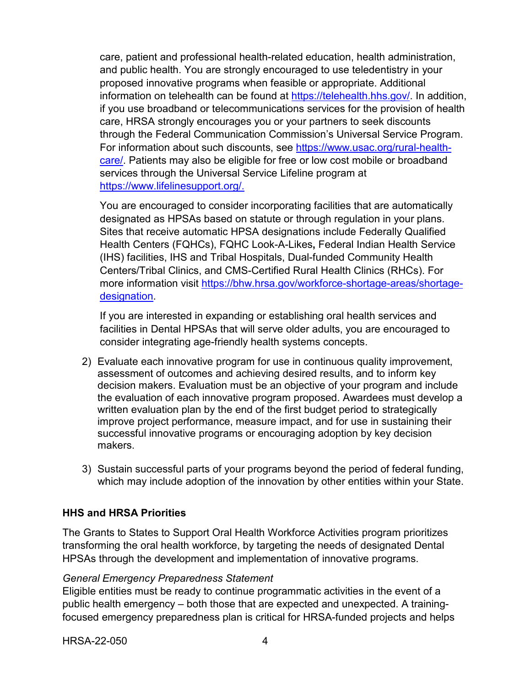care, patient and professional health-related education, health administration, and public health. You are strongly encouraged to use teledentistry in your proposed innovative programs when feasible or appropriate. Additional information on telehealth can be found at [https://telehealth.hhs.gov/.](https://telehealth.hhs.gov/) In addition, if you use broadband or telecommunications services for the provision of health care, HRSA strongly encourages you or your partners to seek discounts through the Federal Communication Commission's Universal Service Program. For information about such discounts, see [https://www.usac.org/rural-health](https://www.usac.org/rural-health-care/)[care/.](https://www.usac.org/rural-health-care/) Patients may also be eligible for free or low cost mobile or broadband services through the Universal Service Lifeline program at [https://www.lifelinesupport.org/.](https://www.lifelinesupport.org/)

You are encouraged to consider incorporating facilities that are automatically designated as HPSAs based on statute or through regulation in your plans. Sites that receive automatic HPSA designations include Federally Qualified Health Centers (FQHCs), FQHC Look-A-Likes**,** Federal Indian Health Service (IHS) facilities, IHS and Tribal Hospitals, Dual-funded Community Health Centers/Tribal Clinics, and CMS-Certified Rural Health Clinics (RHCs). For more information visit [https://bhw.hrsa.gov/workforce-shortage-areas/shortage](https://bhw.hrsa.gov/workforce-shortage-areas/shortage-designation)[designation.](https://bhw.hrsa.gov/workforce-shortage-areas/shortage-designation)

If you are interested in expanding or establishing oral health services and facilities in Dental HPSAs that will serve older adults, you are encouraged to consider integrating age-friendly health systems concepts.

- 2) Evaluate each innovative program for use in continuous quality improvement, assessment of outcomes and achieving desired results, and to inform key decision makers. Evaluation must be an objective of your program and include the evaluation of each innovative program proposed. Awardees must develop a written evaluation plan by the end of the first budget period to strategically improve project performance, measure impact, and for use in sustaining their successful innovative programs or encouraging adoption by key decision makers.
- 3) Sustain successful parts of your programs beyond the period of federal funding, which may include adoption of the innovation by other entities within your State.

#### **HHS and HRSA Priorities**

The Grants to States to Support Oral Health Workforce Activities program prioritizes transforming the oral health workforce, by targeting the needs of designated Dental HPSAs through the development and implementation of innovative programs.

#### *General Emergency Preparedness Statement*

Eligible entities must be ready to continue programmatic activities in the event of a public health emergency – both those that are expected and unexpected. A trainingfocused emergency preparedness plan is critical for HRSA-funded projects and helps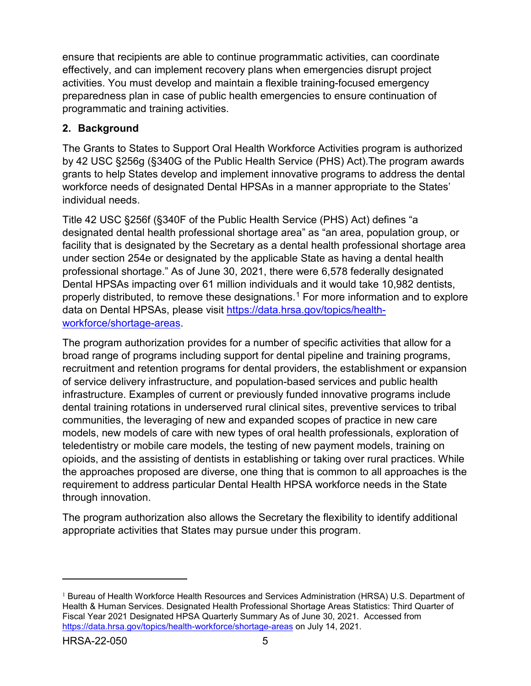ensure that recipients are able to continue programmatic activities, can coordinate effectively, and can implement recovery plans when emergencies disrupt project activities. You must develop and maintain a flexible training-focused emergency preparedness plan in case of public health emergencies to ensure continuation of programmatic and training activities.

## <span id="page-8-0"></span>**2. Background**

The Grants to States to Support Oral Health Workforce Activities program is authorized by 42 USC §256g (§340G of the Public Health Service (PHS) Act).The program awards grants to help States develop and implement innovative programs to address the dental workforce needs of designated Dental HPSAs in a manner appropriate to the States' individual needs.

Title 42 USC §256f (§340F of the Public Health Service (PHS) Act) defines "a designated dental health professional shortage area" as "an area, population group, or facility that is designated by the Secretary as a dental health professional shortage area under section 254e or designated by the applicable State as having a dental health professional shortage." As of June 30, 2021, there were 6,578 federally designated Dental HPSAs impacting over 61 million individuals and it would take 10,982 dentists, properly distributed, to remove these designations.[1](#page-8-1) For more information and to explore data on Dental HPSAs, please visit [https://data.hrsa.gov/topics/health](https://data.hrsa.gov/topics/health-workforce/shortage-areas)[workforce/shortage-areas.](https://data.hrsa.gov/topics/health-workforce/shortage-areas)

The program authorization provides for a number of specific activities that allow for a broad range of programs including support for dental pipeline and training programs, recruitment and retention programs for dental providers, the establishment or expansion of service delivery infrastructure, and population-based services and public health infrastructure. Examples of current or previously funded innovative programs include dental training rotations in underserved rural clinical sites, preventive services to tribal communities, the leveraging of new and expanded scopes of practice in new care models, new models of care with new types of oral health professionals, exploration of teledentistry or mobile care models, the testing of new payment models, training on opioids, and the assisting of dentists in establishing or taking over rural practices. While the approaches proposed are diverse, one thing that is common to all approaches is the requirement to address particular Dental Health HPSA workforce needs in the State through innovation.

The program authorization also allows the Secretary the flexibility to identify additional appropriate activities that States may pursue under this program.

<span id="page-8-1"></span><sup>&</sup>lt;sup>1</sup> Bureau of Health Workforce Health Resources and Services Administration (HRSA) U.S. Department of Health & Human Services. Designated Health Professional Shortage Areas Statistics: Third Quarter of Fiscal Year 2021 Designated HPSA Quarterly Summary As of June 30, 2021. Accessed from <https://data.hrsa.gov/topics/health-workforce/shortage-areas> on July 14, 2021.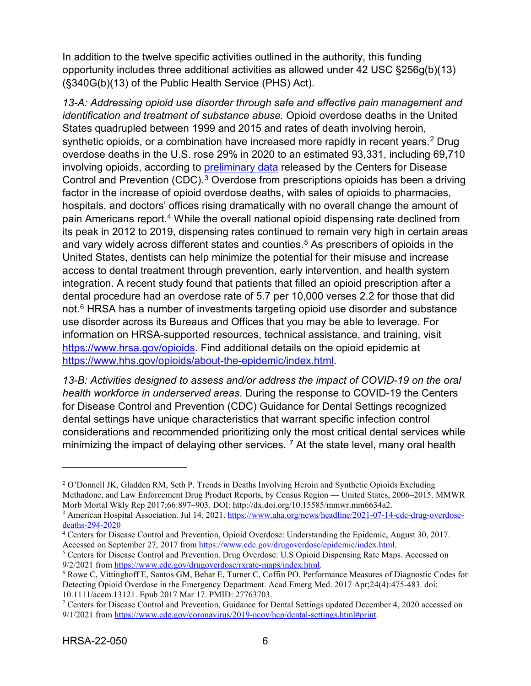In addition to the twelve specific activities outlined in the authority, this funding opportunity includes three additional activities as allowed under 42 USC §256g(b)(13) (§340G(b)(13) of the Public Health Service (PHS) Act).

*13-A: Addressing opioid use disorder through safe and effective pain management and identification and treatment of substance abuse.* Opioid overdose deaths in the United States quadrupled between 1999 and 2015 and rates of death involving heroin, synthetic opioids, or a combination have increased more rapidly in recent years.<sup>[2](#page-9-0)</sup> Drug overdose deaths in the U.S. rose 29% in 2020 to an estimated 93,331, including 69,710 involving opioids, according to [preliminary data](https://www.cdc.gov/nchs/nvss/vsrr/drug-overdose-data.htm) released by the Centers for Disease Control and Prevention (CDC).<sup>[3](#page-9-1)</sup> Overdose from prescriptions opioids has been a driving factor in the increase of opioid overdose deaths, with sales of opioids to pharmacies, hospitals, and doctors' offices rising dramatically with no overall change the amount of pain Americans report.<sup>[4](#page-9-2)</sup> While the overall national opioid dispensing rate declined from its peak in 2012 to 2019, dispensing rates continued to remain very high in certain areas and vary widely across different states and counties. [5](#page-9-3) As prescribers of opioids in the United States, dentists can help minimize the potential for their misuse and increase access to dental treatment through prevention, early intervention, and health system integration. A recent study found that patients that filled an opioid prescription after a dental procedure had an overdose rate of 5.7 per 10,000 verses 2.2 for those that did not.<sup>[6](#page-9-4)</sup> HRSA has a number of investments targeting opioid use disorder and substance use disorder across its Bureaus and Offices that you may be able to leverage. For information on HRSA-supported resources, technical assistance, and training, visit [https://www.hrsa.gov/opioids.](https://www.hrsa.gov/opioids) Find additional details on the opioid epidemic at [https://www.hhs.gov/opioids/about-the-epidemic/index.html.](https://www.hhs.gov/opioids/about-the-epidemic/index.html)

*13-B: Activities designed to assess and/or address the impact of COVID-19 on the oral health workforce in underserved areas*. During the response to COVID-19 the Centers for Disease Control and Prevention (CDC) Guidance for Dental Settings recognized dental settings have unique characteristics that warrant specific infection control considerations and recommended prioritizing only the most critical dental services while minimizing the impact of delaying other services. <sup>[7](#page-9-5)</sup> At the state level, many oral health

<span id="page-9-3"></span><sup>5</sup> Centers for Disease Control and Prevention. Drug Overdose: U.S Opioid Dispensing Rate Maps. Accessed on 9/2/2021 from [https://www.cdc.gov/drugoverdose/rxrate-maps/index.html.](https://www.cdc.gov/drugoverdose/rxrate-maps/index.html)

<span id="page-9-0"></span><sup>2</sup> O'Donnell JK, Gladden RM, Seth P. Trends in Deaths Involving Heroin and Synthetic Opioids Excluding Methadone, and Law Enforcement Drug Product Reports, by Census Region — United States, 2006–2015. MMWR Morb Mortal Wkly Rep 2017;66:897–903. DOI: http://dx.doi.org/10.15585/mmwr.mm6634a2.

<span id="page-9-1"></span><sup>3</sup> American Hospital Association. Jul 14, 2021[. https://www.aha.org/news/headline/2021-07-14-cdc-drug-overdose](https://www.aha.org/news/headline/2021-07-14-cdc-drug-overdose-deaths-294-2020)[deaths-294-2020](https://www.aha.org/news/headline/2021-07-14-cdc-drug-overdose-deaths-294-2020)

<span id="page-9-2"></span><sup>&</sup>lt;sup>4</sup> Centers for Disease Control and Prevention, Opioid Overdose: Understanding the Epidemic, August 30, 2017. Accessed on September 27, 2017 fro[m https://www.cdc.gov/drugoverdose/epidemic/index.html.](https://www.cdc.gov/drugoverdose/epidemic/index.html)

<span id="page-9-4"></span><sup>6</sup> Rowe C, Vittinghoff E, Santos GM, Behar E, Turner C, Coffin PO. Performance Measures of Diagnostic Codes for Detecting Opioid Overdose in the Emergency Department. Acad Emerg Med. 2017 Apr;24(4):475-483. doi: 10.1111/acem.13121. Epub 2017 Mar 17. PMID: 27763703.

<span id="page-9-5"></span><sup>&</sup>lt;sup>7</sup> Centers for Disease Control and Prevention, Guidance for Dental Settings updated December 4, 2020 accessed on 9/1/2021 from [https://www.cdc.gov/coronavirus/2019-ncov/hcp/dental-settings.html#print.](https://www.cdc.gov/coronavirus/2019-ncov/hcp/dental-settings.html#print)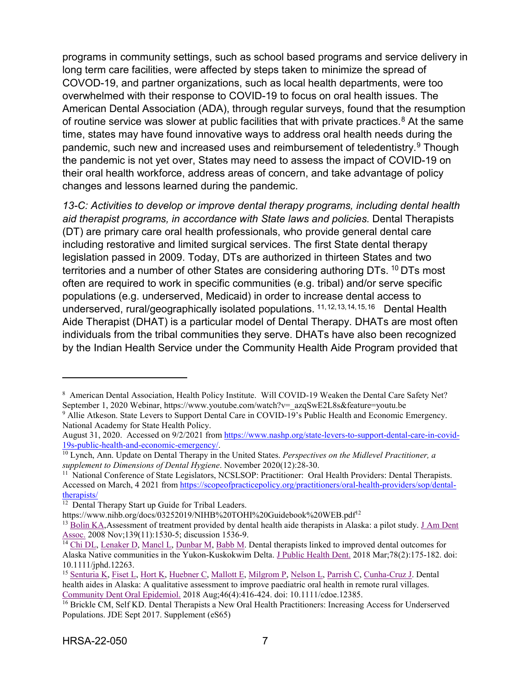programs in community settings, such as school based programs and service delivery in long term care facilities, were affected by steps taken to minimize the spread of COVOD-19, and partner organizations, such as local health departments, were too overwhelmed with their response to COVID-19 to focus on oral health issues. The American Dental Association (ADA), through regular surveys, found that the resumption of routine service was slower at public facilities that with private practices. [8](#page-10-0) At the same time, states may have found innovative ways to address oral health needs during the pandemic, such new and increased uses and reimbursement of teledentistry.<sup>[9](#page-10-1)</sup> Though the pandemic is not yet over, States may need to assess the impact of COVID-19 on their oral health workforce, address areas of concern, and take advantage of policy changes and lessons learned during the pandemic.

*13-C: Activities to develop or improve dental therapy programs, including dental health aid therapist programs, in accordance with State laws and policies.* Dental Therapists (DT) are primary care oral health professionals, who provide general dental care including restorative and limited surgical services. The first State dental therapy legislation passed in 2009. Today, DTs are authorized in thirteen States and two territories and a number of other States are considering authoring DTs. <sup>[10](#page-10-2)</sup> DTs most often are required to work in specific communities (e.g. tribal) and/or serve specific populations (e.g. underserved, Medicaid) in order to increase dental access to underserved, rural/geographically isolated populations.<sup>[11,](#page-10-3)[12](#page-10-4),[13,](#page-10-5)[14](#page-10-6),[15,](#page-10-7)[16](#page-10-8)</sup> Dental Health Aide Therapist (DHAT) is a particular model of Dental Therapy. DHATs are most often individuals from the tribal communities they serve. DHATs have also been recognized by the Indian Health Service under the Community Health Aide Program provided that

<span id="page-10-0"></span><sup>&</sup>lt;sup>8</sup> American Dental Association, Health Policy Institute. Will COVID-19 Weaken the Dental Care Safety Net? September 1, 2020 Webinar, https://www.youtube.com/watch?v=\_azqSwE2L8s&feature=youtu.be

<span id="page-10-1"></span><sup>9</sup> Allie Atkeson. State Levers to Support Dental Care in COVID-19's Public Health and Economic Emergency. National Academy for State Health Policy.

August 31, 2020. Accessed on 9/2/2021 from https://www.nashp.org/state-levers-to-support-dental-care-in-covid-<br>19s-public-health-and-economic-emergency/.

<span id="page-10-2"></span> $\frac{10 \text{ Lynch}}{10 \text{ Lynch}}$ , Ann. Update on Dental Therapy in the United States. *Perspectives on the Midlevel Practitioner, a supplement to Dimensions of Dental Hygiene*. November 2020(12):28-30.

<span id="page-10-3"></span><sup>&</sup>lt;sup>11</sup> National Conference of State Legislators, NCSLSOP: Practitioner: Oral Health Providers: Dental Therapists. Accessed on March, 4 2021 from https://scopeofpracticepolicy.org/practitioners/oral-health-providers/sop/dental-<br>therapists/

<span id="page-10-4"></span><sup>&</sup>lt;sup>12</sup> Dental Therapy Start up Guide for Tribal Leaders.<br>https://www.nihb.org/docs/03252019/NIHB%20TOHI%20Guidebook%20WEB.pdf<sup>12</sup>

<span id="page-10-5"></span><sup>&</sup>lt;sup>13</sup> Bolin KA, Assessment of treatment provided by dental health aide therapists in Alaska: a pilot study. J Am Dent Assoc. 2008 Nov;139(11):1530-5; discussion 1536-9.

<span id="page-10-6"></span><sup>&</sup>lt;sup>14</sup> [Chi DL,](https://www.ncbi.nlm.nih.gov/pubmed/?term=Chi%20DL%5BAuthor%5D&cauthor=true&cauthor_uid=29377127) [Lenaker D,](https://www.ncbi.nlm.nih.gov/pubmed/?term=Lenaker%20D%5BAuthor%5D&cauthor=true&cauthor_uid=29377127) [Mancl L,](https://www.ncbi.nlm.nih.gov/pubmed/?term=Mancl%20L%5BAuthor%5D&cauthor=true&cauthor_uid=29377127) [Dunbar M,](https://www.ncbi.nlm.nih.gov/pubmed/?term=Dunbar%20M%5BAuthor%5D&cauthor=true&cauthor_uid=29377127) [Babb M.](https://www.ncbi.nlm.nih.gov/pubmed/?term=Babb%20M%5BAuthor%5D&cauthor=true&cauthor_uid=29377127) Dental therapists linked to improved dental outcomes for Alaska Native communities in the Yukon-Kuskokwim Delta. [J Public](https://www.ncbi.nlm.nih.gov/pubmed/29377127) Health Dent. 2018 Mar;78(2):175-182. doi: 10.1111/jphd.12263.

<span id="page-10-7"></span><sup>15</sup> [Senturia K,](https://www.ncbi.nlm.nih.gov/pubmed/?term=Senturia%20K%5BAuthor%5D&cauthor=true&cauthor_uid=29863284) [Fiset L,](https://www.ncbi.nlm.nih.gov/pubmed/?term=Fiset%20L%5BAuthor%5D&cauthor=true&cauthor_uid=29863284) [Hort K,](https://www.ncbi.nlm.nih.gov/pubmed/?term=Hort%20K%5BAuthor%5D&cauthor=true&cauthor_uid=29863284) [Huebner C,](https://www.ncbi.nlm.nih.gov/pubmed/?term=Huebner%20C%5BAuthor%5D&cauthor=true&cauthor_uid=29863284) [Mallott E,](https://www.ncbi.nlm.nih.gov/pubmed/?term=Mallott%20E%5BAuthor%5D&cauthor=true&cauthor_uid=29863284) [Milgrom P,](https://www.ncbi.nlm.nih.gov/pubmed/?term=Milgrom%20P%5BAuthor%5D&cauthor=true&cauthor_uid=29863284) [Nelson L,](https://www.ncbi.nlm.nih.gov/pubmed/?term=Nelson%20L%5BAuthor%5D&cauthor=true&cauthor_uid=29863284) [Parrish C,](https://www.ncbi.nlm.nih.gov/pubmed/?term=Parrish%20C%5BAuthor%5D&cauthor=true&cauthor_uid=29863284) [Cunha-Cruz J.](https://www.ncbi.nlm.nih.gov/pubmed/?term=Cunha-Cruz%20J%5BAuthor%5D&cauthor=true&cauthor_uid=29863284) Dental health aides in Alaska: A qualitative assessment to improve paediatric oral health in remote rural villages. [Community Dent](https://www.ncbi.nlm.nih.gov/pubmed/29863284) Oral Epidemiol. 2018 Aug;46(4):416-424. doi: 10.1111/cdoe.12385.

<span id="page-10-8"></span><sup>&</sup>lt;sup>16</sup> Brickle CM, Self KD. Dental Therapists a New Oral Health Practitioners: Increasing Access for Underserved Populations. JDE Sept 2017. Supplement (eS65)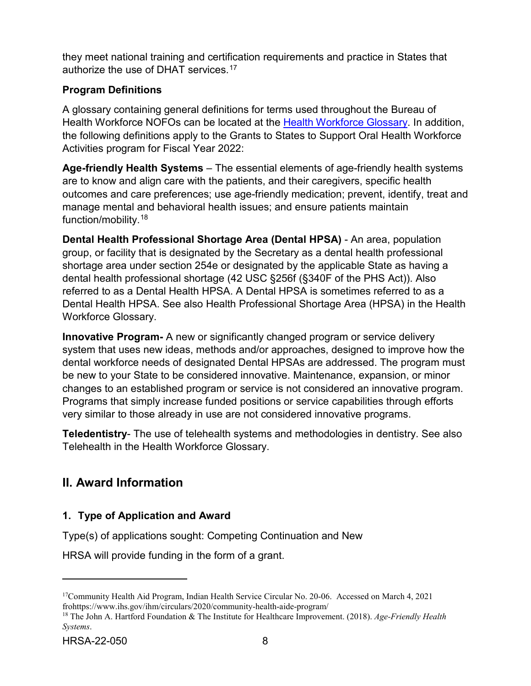they meet national training and certification requirements and practice in States that authorize the use of DHAT services. [17](#page-11-2)

## **Program Definitions**

A glossary containing general definitions for terms used throughout the Bureau of Health Workforce NOFOs can be located at the [Health Workforce Glossary.](https://bhw.hrsa.gov/grants/resourcecenter/glossary) In addition, the following definitions apply to the Grants to States to Support Oral Health Workforce Activities program for Fiscal Year 2022:

**Age-friendly Health Systems** – The essential elements of age-friendly health systems are to know and align care with the patients, and their caregivers, specific health outcomes and care preferences; use age-friendly medication; prevent, identify, treat and manage mental and behavioral health issues; and ensure patients maintain function/mobility.[18](#page-11-3)

**Dental Health Professional Shortage Area (Dental HPSA)** - An area, population group, or facility that is designated by the Secretary as a dental health professional shortage area under section 254e or designated by the applicable State as having a dental health professional shortage (42 USC §256f (§340F of the PHS Act)). Also referred to as a Dental Health HPSA. A Dental HPSA is sometimes referred to as a Dental Health HPSA. See also Health Professional Shortage Area (HPSA) in the Health Workforce Glossary.

**Innovative Program-** A new or significantly changed program or service delivery system that uses new ideas, methods and/or approaches, designed to improve how the dental workforce needs of designated Dental HPSAs are addressed. The program must be new to your State to be considered innovative. Maintenance, expansion, or minor changes to an established program or service is not considered an innovative program. Programs that simply increase funded positions or service capabilities through efforts very similar to those already in use are not considered innovative programs.

**Teledentistry**- The use of telehealth systems and methodologies in dentistry. See also Telehealth in the Health Workforce Glossary.

# <span id="page-11-0"></span>**II. Award Information**

## <span id="page-11-1"></span>**1. Type of Application and Award**

Type(s) of applications sought: Competing Continuation and New

HRSA will provide funding in the form of a grant.

<span id="page-11-2"></span><sup>&</sup>lt;sup>17</sup>Community Health Aid Program, Indian Health Service Circular No. 20-06. Accessed on March 4, 2021 frohttps://www.ihs.gov/ihm/circulars/2020/community-health-aide-program/ 18 The John A. Hartford Foundation & The Institute for Healthcare Improvement. (2018). *Age-Friendly Health* 

<span id="page-11-3"></span>*Systems*.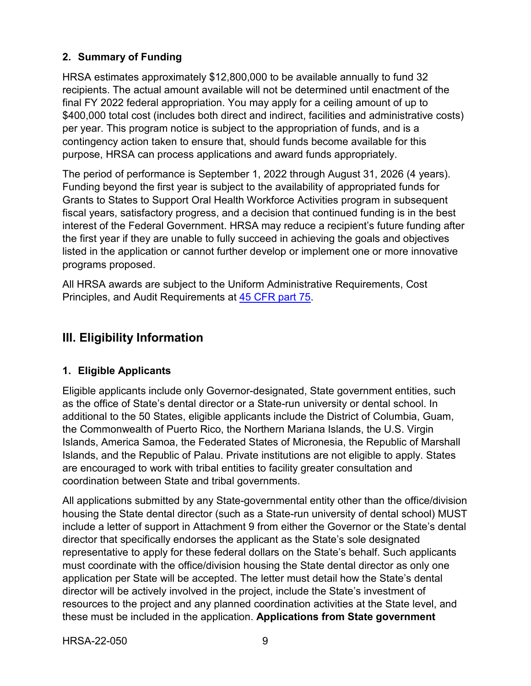## <span id="page-12-1"></span>**2. Summary of Funding**

HRSA estimates approximately \$12,800,000 to be available annually to fund 32 recipients. The actual amount available will not be determined until enactment of the final FY 2022 federal appropriation. You may apply for a ceiling amount of up to \$400,000 total cost (includes both direct and indirect, facilities and administrative costs) per year. This program notice is subject to the appropriation of funds, and is a contingency action taken to ensure that, should funds become available for this purpose, HRSA can process applications and award funds appropriately.

The period of performance is September 1, 2022 through August 31, 2026 (4 years). Funding beyond the first year is subject to the availability of appropriated funds for Grants to States to Support Oral Health Workforce Activities program in subsequent fiscal years, satisfactory progress, and a decision that continued funding is in the best interest of the Federal Government. HRSA may reduce a recipient's future funding after the first year if they are unable to fully succeed in achieving the goals and objectives listed in the application or cannot further develop or implement one or more innovative programs proposed.

All HRSA awards are subject to the Uniform Administrative Requirements, Cost Principles, and Audit Requirements at [45 CFR part 75.](http://www.ecfr.gov/cgi-bin/retrieveECFR?gp=1&SID=4d52364ec83fab994c665943dadf9cf7&ty=HTML&h=L&r=PART&n=pt45.1.75)

## <span id="page-12-2"></span>**III. Eligibility Information**

#### <span id="page-12-0"></span>**1. Eligible Applicants**

Eligible applicants include only Governor-designated, State government entities, such as the office of State's dental director or a State-run university or dental school. In additional to the 50 States, eligible applicants include the District of Columbia, Guam, the Commonwealth of Puerto Rico, the Northern Mariana Islands, the U.S. Virgin Islands, America Samoa, the Federated States of Micronesia, the Republic of Marshall Islands, and the Republic of Palau. Private institutions are not eligible to apply. States are encouraged to work with tribal entities to facility greater consultation and coordination between State and tribal governments.

All applications submitted by any State-governmental entity other than the office/division housing the State dental director (such as a State-run university of dental school) MUST include a letter of support in Attachment 9 from either the Governor or the State's dental director that specifically endorses the applicant as the State's sole designated representative to apply for these federal dollars on the State's behalf. Such applicants must coordinate with the office/division housing the State dental director as only one application per State will be accepted. The letter must detail how the State's dental director will be actively involved in the project, include the State's investment of resources to the project and any planned coordination activities at the State level, and these must be included in the application. **Applications from State government**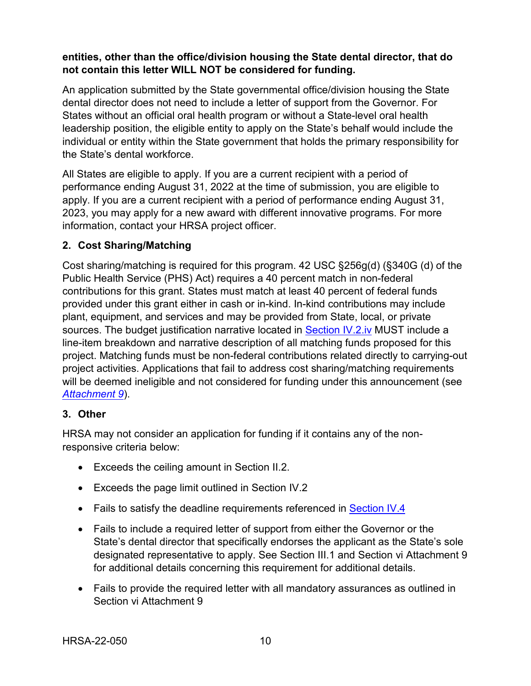### **entities, other than the office/division housing the State dental director, that do not contain this letter WILL NOT be considered for funding.**

An application submitted by the State governmental office/division housing the State dental director does not need to include a letter of support from the Governor. For States without an official oral health program or without a State-level oral health leadership position, the eligible entity to apply on the State's behalf would include the individual or entity within the State government that holds the primary responsibility for the State's dental workforce.

All States are eligible to apply. If you are a current recipient with a period of performance ending August 31, 2022 at the time of submission, you are eligible to apply. If you are a current recipient with a period of performance ending August 31, 2023, you may apply for a new award with different innovative programs. For more information, contact your HRSA project officer.

## <span id="page-13-0"></span>**2. Cost Sharing/Matching**

Cost sharing/matching is required for this program. 42 USC §256g(d) (§340G (d) of the Public Health Service (PHS) Act) requires a 40 percent match in non-federal contributions for this grant. States must match at least 40 percent of federal funds provided under this grant either in cash or in-kind. In-kind contributions may include plant, equipment, and services and may be provided from State, local, or private sources. The budget justification narrative located in [Section IV.2.iv](#page-30-0) MUST include a line-item breakdown and narrative description of all matching funds proposed for this project. Matching funds must be non-federal contributions related directly to carrying-out project activities. Applications that fail to address cost sharing/matching requirements will be deemed ineligible and not considered for funding under this announcement (see *[Attachment 9](#page-32-0)*).

#### <span id="page-13-1"></span>**3. Other**

HRSA may not consider an application for funding if it contains any of the nonresponsive criteria below:

- Exceeds the ceiling amount in Section II.2.
- Exceeds the page limit outlined in Section IV.2
- Fails to satisfy the deadline requirements referenced in **[Section IV.4](#page-36-0)**
- Fails to include a required letter of support from either the Governor or the State's dental director that specifically endorses the applicant as the State's sole designated representative to apply. See Section III.1 and Section vi Attachment 9 for additional details concerning this requirement for additional details.
- Fails to provide the required letter with all mandatory assurances as outlined in Section vi Attachment 9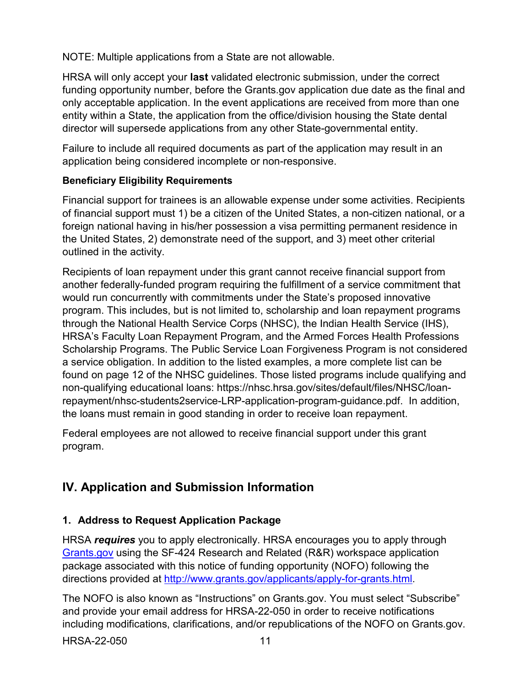NOTE: Multiple applications from a State are not allowable.

HRSA will only accept your **last** validated electronic submission, under the correct funding opportunity number, before the Grants.gov application due date as the final and only acceptable application. In the event applications are received from more than one entity within a State, the application from the office/division housing the State dental director will supersede applications from any other State-governmental entity.

Failure to include all required documents as part of the application may result in an application being considered incomplete or non-responsive.

## **Beneficiary Eligibility Requirements**

Financial support for trainees is an allowable expense under some activities. Recipients of financial support must 1) be a citizen of the United States, a non-citizen national, or a foreign national having in his/her possession a visa permitting permanent residence in the United States, 2) demonstrate need of the support, and 3) meet other criterial outlined in the activity.

Recipients of loan repayment under this grant cannot receive financial support from another federally-funded program requiring the fulfillment of a service commitment that would run concurrently with commitments under the State's proposed innovative program. This includes, but is not limited to, scholarship and loan repayment programs through the National Health Service Corps (NHSC), the Indian Health Service (IHS), HRSA's Faculty Loan Repayment Program, and the Armed Forces Health Professions Scholarship Programs. The Public Service Loan Forgiveness Program is not considered a service obligation. In addition to the listed examples, a more complete list can be found on page 12 of the NHSC guidelines. Those listed programs include qualifying and non-qualifying educational loans: [https://nhsc.hrsa.gov/sites/default/files/NHSC/loan](https://nhsc.hrsa.gov/sites/default/files/NHSC/loan-repayment/nhsc-students2service-LRP-application-program-guidance.pdf)[repayment/nhsc-students2service-LRP-application-program-guidance.pdf.](https://nhsc.hrsa.gov/sites/default/files/NHSC/loan-repayment/nhsc-students2service-LRP-application-program-guidance.pdf) In addition, the loans must remain in good standing in order to receive loan repayment.

Federal employees are not allowed to receive financial support under this grant program.

# <span id="page-14-0"></span>**IV. Application and Submission Information**

## <span id="page-14-1"></span>**1. Address to Request Application Package**

HRSA *requires* you to apply electronically. HRSA encourages you to apply through [Grants.gov](https://www.grants.gov/) using the SF-424 Research and Related (R&R) workspace application package associated with this notice of funding opportunity (NOFO) following the directions provided at [http://www.grants.gov/applicants/apply-for-grants.html.](http://www.grants.gov/applicants/apply-for-grants.html)

The NOFO is also known as "Instructions" on Grants.gov. You must select "Subscribe" and provide your email address for HRSA-22-050 in order to receive notifications including modifications, clarifications, and/or republications of the NOFO on Grants.gov.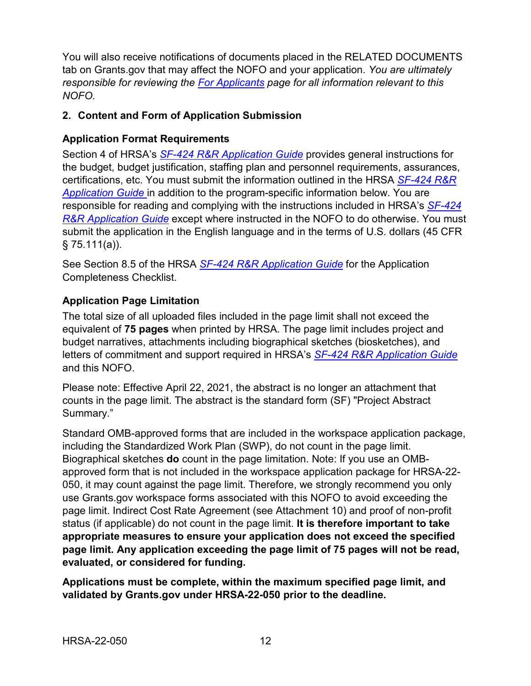You will also receive notifications of documents placed in the RELATED DOCUMENTS tab on Grants.gov that may affect the NOFO and your application. *You are ultimately responsible for reviewing the [For Applicants](https://www.grants.gov/web/grants/applicants.html) page for all information relevant to this NOFO.*

## <span id="page-15-0"></span>**2. Content and Form of Application Submission**

## **Application Format Requirements**

Section 4 of HRSA's *SF-424 R&R [Application Guide](http://www.hrsa.gov/grants/apply/applicationguide/sf424rrguidev2.pdf)* provides general instructions for the budget, budget justification, staffing plan and personnel requirements, assurances, certifications, etc. You must submit the information outlined in the HRSA *[SF-424](http://www.hrsa.gov/grants/apply/applicationguide/sf424rrguidev2.pdf) R&R [Application Guide](http://www.hrsa.gov/grants/apply/applicationguide/sf424rrguidev2.pdf)* in addition to the program-specific information below. You are responsible for reading and complying with the instructions included in HRSA's *[SF-424](http://www.hrsa.gov/grants/apply/applicationguide/sf424rrguidev2.pdf) R&R [Application Guide](http://www.hrsa.gov/grants/apply/applicationguide/sf424rrguidev2.pdf)* except where instructed in the NOFO to do otherwise. You must submit the application in the English language and in the terms of U.S. dollars (45 CFR  $§ 75.111(a)$ ).

See Section 8.5 of the HRSA *SF-424 R&R [Application Guide](http://www.hrsa.gov/grants/apply/applicationguide/sf424rrguidev2.pdf)* for the Application Completeness Checklist.

## **Application Page Limitation**

The total size of all uploaded files included in the page limit shall not exceed the equivalent of **75 pages** when printed by HRSA. The page limit includes project and budget narratives, attachments including biographical sketches (biosketches), and letters of commitment and support required in HRSA's *SF-424 R&R [Application Guide](http://www.hrsa.gov/grants/apply/applicationguide/sf424rrguidev2.pdf)* and this NOFO.

Please note: Effective April 22, 2021, the abstract is no longer an attachment that counts in the page limit. The abstract is the standard form (SF) "Project Abstract Summary."

Standard OMB-approved forms that are included in the workspace application package, including the Standardized Work Plan (SWP), do not count in the page limit. Biographical sketches **do** count in the page limitation. Note: If you use an OMBapproved form that is not included in the workspace application package for HRSA-22- 050, it may count against the page limit. Therefore, we strongly recommend you only use Grants.gov workspace forms associated with this NOFO to avoid exceeding the page limit. Indirect Cost Rate Agreement (see Attachment 10) and proof of non-profit status (if applicable) do not count in the page limit. **It is therefore important to take appropriate measures to ensure your application does not exceed the specified page limit. Any application exceeding the page limit of 75 pages will not be read, evaluated, or considered for funding.**

**Applications must be complete, within the maximum specified page limit, and validated by Grants.gov under HRSA-22-050 prior to the deadline.**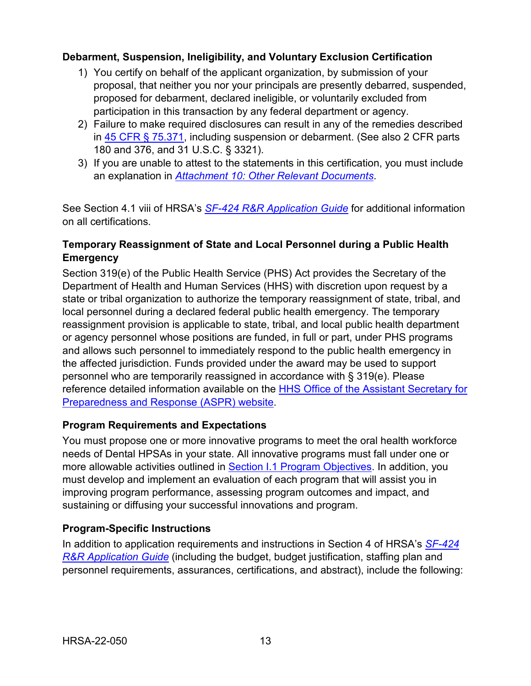### **Debarment, Suspension, Ineligibility, and Voluntary Exclusion Certification**

- 1) You certify on behalf of the applicant organization, by submission of your proposal, that neither you nor your principals are presently debarred, suspended, proposed for debarment, declared ineligible, or voluntarily excluded from participation in this transaction by any federal department or agency.
- 2) Failure to make required disclosures can result in any of the remedies described in [45 CFR § 75.371,](https://www.ecfr.gov/cgi-bin/retrieveECFR?gp=1&SID=4d52364ec83fab994c665943dadf9cf7&ty=HTML&h=L&r=PART&n=pt45.1.75#se45.1.75_1371) including suspension or debarment. (See also 2 CFR parts 180 and 376, and 31 U.S.C. § 3321).
- 3) If you are unable to attest to the statements in this certification, you must include an explanation in *[Attachment 10: Other Relevant Documents](#page-32-0)*.

See Section 4.1 viii of HRSA's *SF-424 R&R [Application Guide](http://www.hrsa.gov/grants/apply/applicationguide/sf424rrguidev2.pdf)* for additional information on all certifications.

## **Temporary Reassignment of State and Local Personnel during a Public Health Emergency**

Section 319(e) of the Public Health Service (PHS) Act provides the Secretary of the Department of Health and Human Services (HHS) with discretion upon request by a state or tribal organization to authorize the temporary reassignment of state, tribal, and local personnel during a declared federal public health emergency. The temporary reassignment provision is applicable to state, tribal, and local public health department or agency personnel whose positions are funded, in full or part, under PHS programs and allows such personnel to immediately respond to the public health emergency in the affected jurisdiction. Funds provided under the award may be used to support personnel who are temporarily reassigned in accordance with § 319(e). Please reference detailed information available on the [HHS Office of the Assistant Secretary for](http://www.phe.gov/Preparedness/legal/pahpa/section201/Pages/default.aspx)  [Preparedness and Response \(ASPR\) website.](http://www.phe.gov/Preparedness/legal/pahpa/section201/Pages/default.aspx)

## **Program Requirements and Expectations**

You must propose one or more innovative programs to meet the oral health workforce needs of Dental HPSAs in your state. All innovative programs must fall under one or more allowable activities outlined in **Section I.1 Program Objectives**. In addition, you must develop and implement an evaluation of each program that will assist you in improving program performance, assessing program outcomes and impact, and sustaining or diffusing your successful innovations and program.

#### **Program-Specific Instructions**

In addition to application requirements and instructions in Section 4 of HRSA's *[SF-424](http://www.hrsa.gov/grants/apply/applicationguide/sf424rrguidev2.pdf) R&R [Application Guide](http://www.hrsa.gov/grants/apply/applicationguide/sf424rrguidev2.pdf)* (including the budget, budget justification, staffing plan and personnel requirements, assurances, certifications, and abstract), include the following: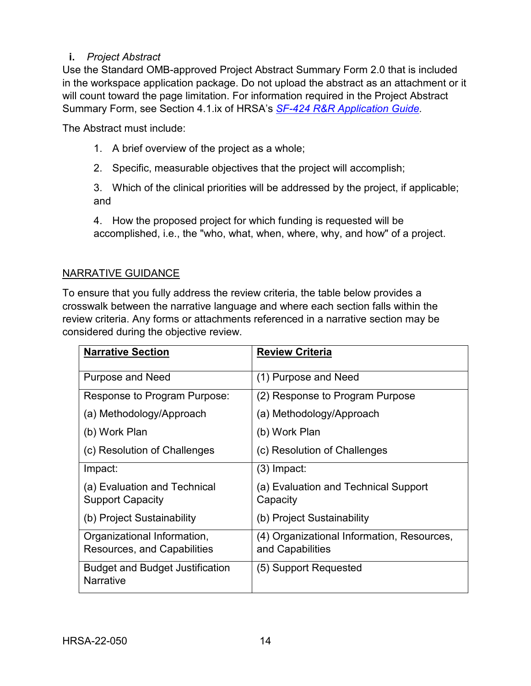## <span id="page-17-0"></span>**i.** *Project Abstract*

Use the Standard OMB-approved Project Abstract Summary Form 2.0 that is included in the workspace application package. Do not upload the abstract as an attachment or it will count toward the page limitation. For information required in the Project Abstract Summary Form, see Section 4.1.ix of HRSA's *SF-424 R&R [Application Guide.](http://www.hrsa.gov/grants/apply/applicationguide/sf424rrguidev2.pdf)*

The Abstract must include:

- 1. A brief overview of the project as a whole;
- 2. Specific, measurable objectives that the project will accomplish;

3. Which of the clinical priorities will be addressed by the project, if applicable; and

4. How the proposed project for which funding is requested will be accomplished, i.e., the "who, what, when, where, why, and how" of a project.

## NARRATIVE GUIDANCE

To ensure that you fully address the review criteria, the table below provides a crosswalk between the narrative language and where each section falls within the review criteria. Any forms or attachments referenced in a narrative section may be considered during the objective review.

| <b>Narrative Section</b>                                          | <b>Review Criteria</b>                                         |
|-------------------------------------------------------------------|----------------------------------------------------------------|
| <b>Purpose and Need</b>                                           | (1) Purpose and Need                                           |
| Response to Program Purpose:                                      | (2) Response to Program Purpose                                |
| (a) Methodology/Approach                                          | (a) Methodology/Approach                                       |
| (b) Work Plan                                                     | (b) Work Plan                                                  |
| (c) Resolution of Challenges                                      | (c) Resolution of Challenges                                   |
| Impact:                                                           | (3) Impact:                                                    |
| (a) Evaluation and Technical<br><b>Support Capacity</b>           | (a) Evaluation and Technical Support<br>Capacity               |
| (b) Project Sustainability                                        | (b) Project Sustainability                                     |
| Organizational Information,<br><b>Resources, and Capabilities</b> | (4) Organizational Information, Resources,<br>and Capabilities |
| <b>Budget and Budget Justification</b><br><b>Narrative</b>        | (5) Support Requested                                          |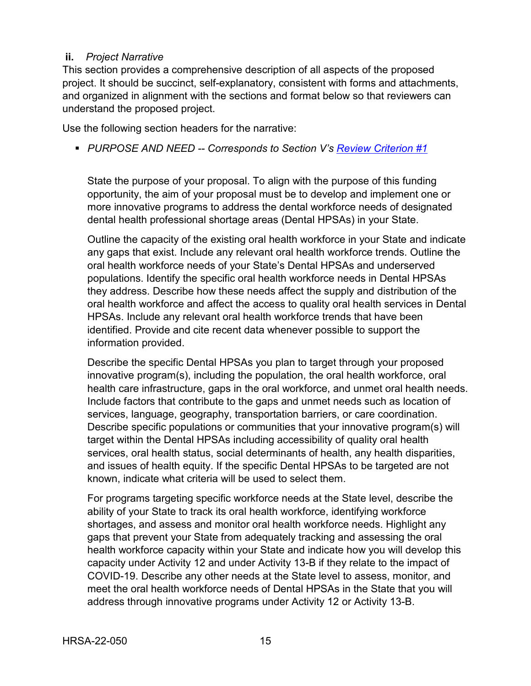#### <span id="page-18-0"></span>**ii.** *Project Narrative*

This section provides a comprehensive description of all aspects of the proposed project. It should be succinct, self-explanatory, consistent with forms and attachments, and organized in alignment with the sections and format below so that reviewers can understand the proposed project.

Use the following section headers for the narrative:

<span id="page-18-1"></span>*PURPOSE AND NEED -- Corresponds to Section V's [Review Criterion #1](#page-38-0)*

State the purpose of your proposal. To align with the purpose of this funding opportunity, the aim of your proposal must be to develop and implement one or more innovative programs to address the dental workforce needs of designated dental health professional shortage areas (Dental HPSAs) in your State.

Outline the capacity of the existing oral health workforce in your State and indicate any gaps that exist. Include any relevant oral health workforce trends. Outline the oral health workforce needs of your State's Dental HPSAs and underserved populations. Identify the specific oral health workforce needs in Dental HPSAs they address. Describe how these needs affect the supply and distribution of the oral health workforce and affect the access to quality oral health services in Dental HPSAs. Include any relevant oral health workforce trends that have been identified. Provide and cite recent data whenever possible to support the information provided.

Describe the specific Dental HPSAs you plan to target through your proposed innovative program(s), including the population, the oral health workforce, oral health care infrastructure, gaps in the oral workforce, and unmet oral health needs. Include factors that contribute to the gaps and unmet needs such as location of services, language, geography, transportation barriers, or care coordination. Describe specific populations or communities that your innovative program(s) will target within the Dental HPSAs including accessibility of quality oral health services, oral health status, social determinants of health, any health disparities, and issues of health equity. If the specific Dental HPSAs to be targeted are not known, indicate what criteria will be used to select them.

For programs targeting specific workforce needs at the State level, describe the ability of your State to track its oral health workforce, identifying workforce shortages, and assess and monitor oral health workforce needs. Highlight any gaps that prevent your State from adequately tracking and assessing the oral health workforce capacity within your State and indicate how you will develop this capacity under Activity 12 and under Activity 13-B if they relate to the impact of COVID-19. Describe any other needs at the State level to assess, monitor, and meet the oral health workforce needs of Dental HPSAs in the State that you will address through innovative programs under Activity 12 or Activity 13-B.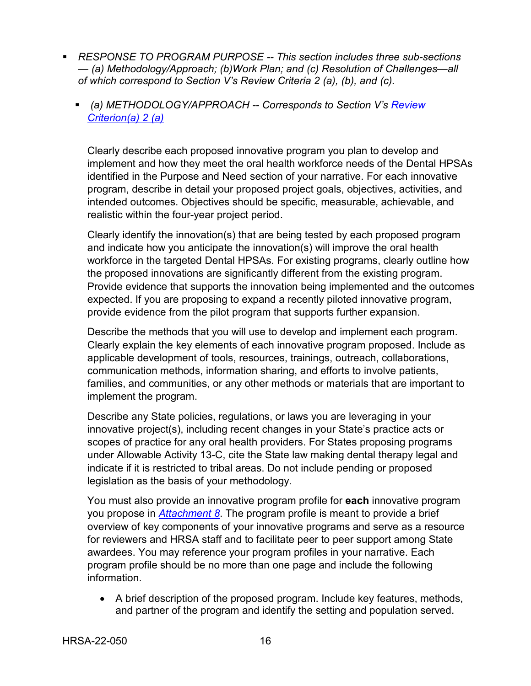- *RESPONSE TO PROGRAM PURPOSE -- This section includes three sub-sections — (a) Methodology/Approach; (b)Work Plan; and (c) Resolution of Challenges—all of which correspond to Section V's Review Criteria 2 (a), (b), and (c).*
	- *(a) METHODOLOGY/APPROACH -- Corresponds to Section V's [Review](#page-38-1)  [Criterion\(a\) 2 \(a\)](#page-38-1)*

<span id="page-19-0"></span>Clearly describe each proposed innovative program you plan to develop and implement and how they meet the oral health workforce needs of the Dental HPSAs identified in the Purpose and Need section of your narrative. For each innovative program, describe in detail your proposed project goals, objectives, activities, and intended outcomes. Objectives should be specific, measurable, achievable, and realistic within the four-year project period.

Clearly identify the innovation(s) that are being tested by each proposed program and indicate how you anticipate the innovation(s) will improve the oral health workforce in the targeted Dental HPSAs. For existing programs, clearly outline how the proposed innovations are significantly different from the existing program. Provide evidence that supports the innovation being implemented and the outcomes expected. If you are proposing to expand a recently piloted innovative program, provide evidence from the pilot program that supports further expansion.

Describe the methods that you will use to develop and implement each program. Clearly explain the key elements of each innovative program proposed. Include as applicable development of tools, resources, trainings, outreach, collaborations, communication methods, information sharing, and efforts to involve patients, families, and communities, or any other methods or materials that are important to implement the program.

Describe any State policies, regulations, or laws you are leveraging in your innovative project(s), including recent changes in your State's practice acts or scopes of practice for any oral health providers. For States proposing programs under Allowable Activity 13-C, cite the State law making dental therapy legal and indicate if it is restricted to tribal areas. Do not include pending or proposed legislation as the basis of your methodology.

You must also provide an innovative program profile for **each** innovative program you propose in *[Attachment 8](#page-32-0)*. The program profile is meant to provide a brief overview of key components of your innovative programs and serve as a resource for reviewers and HRSA staff and to facilitate peer to peer support among State awardees. You may reference your program profiles in your narrative. Each program profile should be no more than one page and include the following information.

• A brief description of the proposed program. Include key features, methods, and partner of the program and identify the setting and population served.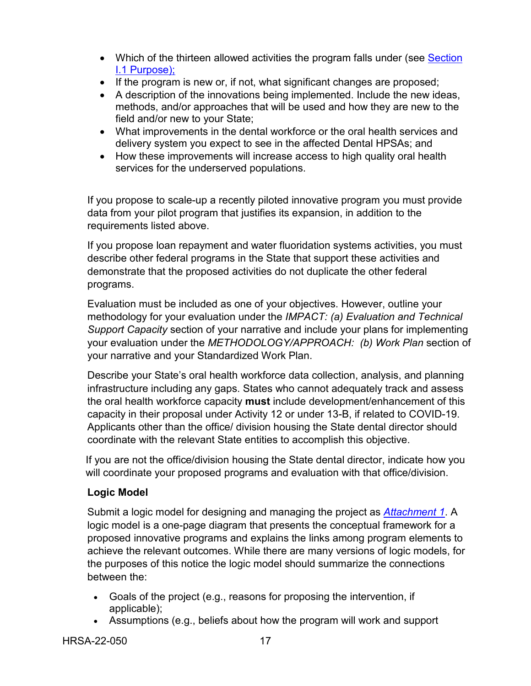- Which of the thirteen allowed activities the program falls under (see Section [I.1 Purpose\);](#page-4-0)
- If the program is new or, if not, what significant changes are proposed;
- A description of the innovations being implemented. Include the new ideas, methods, and/or approaches that will be used and how they are new to the field and/or new to your State;
- What improvements in the dental workforce or the oral health services and delivery system you expect to see in the affected Dental HPSAs; and
- How these improvements will increase access to high quality oral health services for the underserved populations.

If you propose to scale-up a recently piloted innovative program you must provide data from your pilot program that justifies its expansion, in addition to the requirements listed above.

If you propose loan repayment and water fluoridation systems activities, you must describe other federal programs in the State that support these activities and demonstrate that the proposed activities do not duplicate the other federal programs.

Evaluation must be included as one of your objectives. However, outline your methodology for your evaluation under the *IMPACT: (a) Evaluation and Technical Support Capacity* section of your narrative and include your plans for implementing your evaluation under the *METHODOLOGY/APPROACH: (b) Work Plan* section of your narrative and your Standardized Work Plan.

Describe your State's oral health workforce data collection, analysis, and planning infrastructure including any gaps. States who cannot adequately track and assess the oral health workforce capacity **must** include development/enhancement of this capacity in their proposal under Activity 12 or under 13-B, if related to COVID-19. Applicants other than the office/ division housing the State dental director should coordinate with the relevant State entities to accomplish this objective.

If you are not the office/division housing the State dental director, indicate how you will coordinate your proposed programs and evaluation with that office/division.

#### **Logic Model**

Submit a logic model for designing and managing the project as *[Attachment 1](#page-32-0)*. A logic model is a one-page diagram that presents the conceptual framework for a proposed innovative programs and explains the links among program elements to achieve the relevant outcomes. While there are many versions of logic models, for the purposes of this notice the logic model should summarize the connections between the:

- Goals of the project (e.g., reasons for proposing the intervention, if applicable);
- Assumptions (e.g., beliefs about how the program will work and support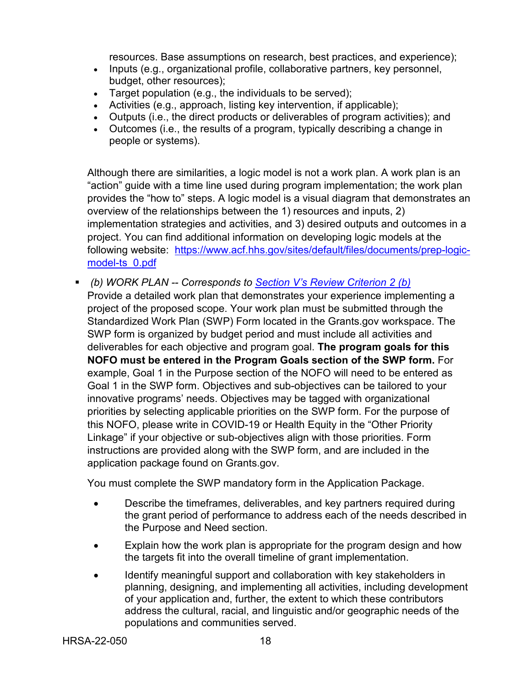resources. Base assumptions on research, best practices, and experience);

- Inputs (e.g., organizational profile, collaborative partners, key personnel, budget, other resources);
- Target population (e.g., the individuals to be served);
- Activities (e.g., approach, listing key intervention, if applicable);
- Outputs (i.e., the direct products or deliverables of program activities); and
- Outcomes (i.e., the results of a program, typically describing a change in people or systems).

Although there are similarities, a logic model is not a work plan. A work plan is an "action" guide with a time line used during program implementation; the work plan provides the "how to" steps. A logic model is a visual diagram that demonstrates an overview of the relationships between the 1) resources and inputs, 2) implementation strategies and activities, and 3) desired outputs and outcomes in a project. You can find additional information on developing logic models at the following website: [https://www.acf.hhs.gov/sites/default/files/documents/prep-logic](https://www.acf.hhs.gov/sites/default/files/documents/prep-logic-model-ts_0.pdf)[model-ts\\_0.pdf](https://www.acf.hhs.gov/sites/default/files/documents/prep-logic-model-ts_0.pdf)

<span id="page-21-0"></span> *(b) WORK PLAN -- Corresponds to [Section V's Review Criterion 2 \(b\)](#page-39-0)* Provide a detailed work plan that demonstrates your experience implementing a project of the proposed scope. Your work plan must be submitted through the Standardized Work Plan (SWP) Form located in the Grants.gov workspace. The SWP form is organized by budget period and must include all activities and deliverables for each objective and program goal. **The program goals for this NOFO must be entered in the Program Goals section of the SWP form.** For example, Goal 1 in the Purpose section of the NOFO will need to be entered as Goal 1 in the SWP form. Objectives and sub-objectives can be tailored to your innovative programs' needs. Objectives may be tagged with organizational priorities by selecting applicable priorities on the SWP form. For the purpose of this NOFO, please write in COVID-19 or Health Equity in the "Other Priority Linkage" if your objective or sub-objectives align with those priorities. Form instructions are provided along with the SWP form, and are included in the application package found on Grants.gov.

You must complete the SWP mandatory form in the Application Package.

- Describe the timeframes, deliverables, and key partners required during the grant period of performance to address each of the needs described in the Purpose and Need section.
- Explain how the work plan is appropriate for the program design and how the targets fit into the overall timeline of grant implementation.
- Identify meaningful support and collaboration with key stakeholders in planning, designing, and implementing all activities, including development of your application and, further, the extent to which these contributors address the cultural, racial, and linguistic and/or geographic needs of the populations and communities served.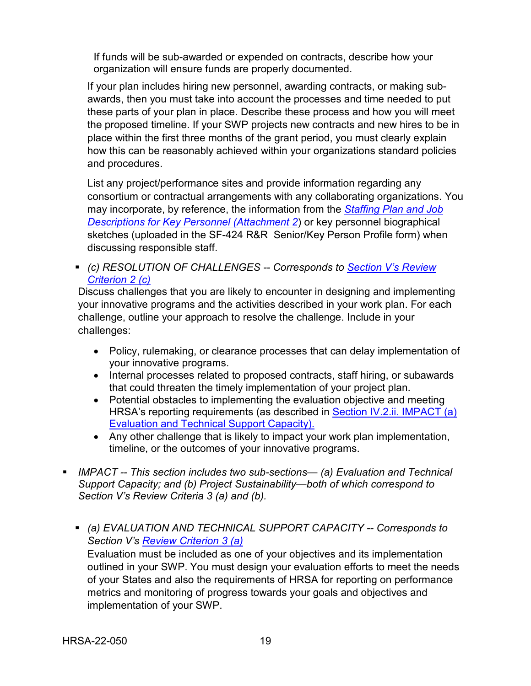If funds will be sub-awarded or expended on contracts, describe how your organization will ensure funds are properly documented.

If your plan includes hiring new personnel, awarding contracts, or making subawards, then you must take into account the processes and time needed to put these parts of your plan in place. Describe these process and how you will meet the proposed timeline. If your SWP projects new contracts and new hires to be in place within the first three months of the grant period, you must clearly explain how this can be reasonably achieved within your organizations standard policies and procedures.

List any project/performance sites and provide information regarding any consortium or contractual arrangements with any collaborating organizations. You may incorporate, by reference, the information from the *[Staffing Plan and Job](#page-32-0)  [Descriptions for Key Personnel \(Attachment 2](#page-32-0)*) or key personnel biographical sketches (uploaded in the SF-424 R&R Senior/Key Person Profile form) when discussing responsible staff.

<span id="page-22-1"></span> *(c) RESOLUTION OF CHALLENGES -- Corresponds to [Section V's Review](#page-40-0)  [Criterion 2 \(c\)](#page-40-0)*

Discuss challenges that you are likely to encounter in designing and implementing your innovative programs and the activities described in your work plan. For each challenge, outline your approach to resolve the challenge. Include in your challenges:

- Policy, rulemaking, or clearance processes that can delay implementation of your innovative programs.
- Internal processes related to proposed contracts, staff hiring, or subawards that could threaten the timely implementation of your project plan.
- Potential obstacles to implementing the evaluation objective and meeting HRSA's reporting requirements (as described in [Section IV.2.ii. IMPACT \(a\)](#page-22-0)  [Evaluation and Technical Support Capacity\).](#page-22-0)
- Any other challenge that is likely to impact your work plan implementation, timeline, or the outcomes of your innovative programs.
- <span id="page-22-0"></span> *IMPACT -- This section includes two sub-sections— (a) Evaluation and Technical Support Capacity; and (b) Project Sustainability—both of which correspond to Section V's Review Criteria 3 (a) and (b).*
	- *(a) EVALUATION AND TECHNICAL SUPPORT CAPACITY -- Corresponds to Section V's [Review Criterion 3 \(a\)](#page-40-1)* Evaluation must be included as one of your objectives and its implementation outlined in your SWP. You must design your evaluation efforts to meet the needs of your States and also the requirements of HRSA for reporting on performance metrics and monitoring of progress towards your goals and objectives and implementation of your SWP.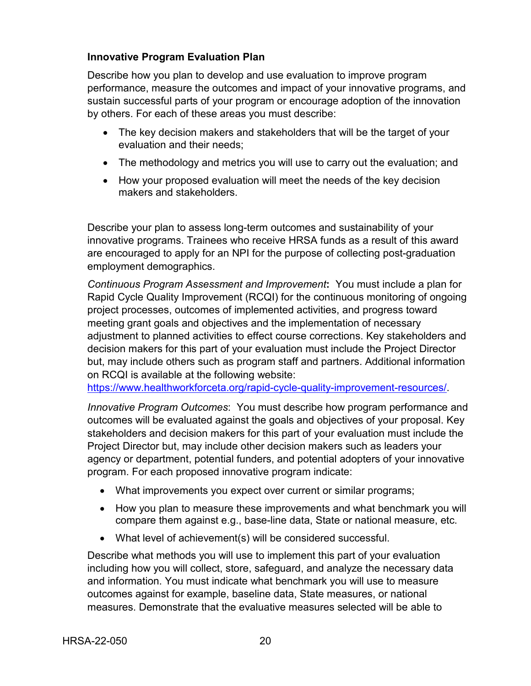### **Innovative Program Evaluation Plan**

Describe how you plan to develop and use evaluation to improve program performance, measure the outcomes and impact of your innovative programs, and sustain successful parts of your program or encourage adoption of the innovation by others. For each of these areas you must describe:

- The key decision makers and stakeholders that will be the target of your evaluation and their needs;
- The methodology and metrics you will use to carry out the evaluation; and
- How your proposed evaluation will meet the needs of the key decision makers and stakeholders.

Describe your plan to assess long-term outcomes and sustainability of your innovative programs. Trainees who receive HRSA funds as a result of this award are encouraged to apply for an NPI for the purpose of collecting post-graduation employment demographics.

*Continuous Program Assessment and Improvement***:** You must include a plan for Rapid Cycle Quality Improvement (RCQI) for the continuous monitoring of ongoing project processes, outcomes of implemented activities, and progress toward meeting grant goals and objectives and the implementation of necessary adjustment to planned activities to effect course corrections. Key stakeholders and decision makers for this part of your evaluation must include the Project Director but, may include others such as program staff and partners. Additional information on RCQI is available at the following website:

[https://www.healthworkforceta.org/rapid-cycle-quality-improvement-resources/.](https://www.healthworkforceta.org/rapid-cycle-quality-improvement-resources/)

*Innovative Program Outcomes*: You must describe how program performance and outcomes will be evaluated against the goals and objectives of your proposal. Key stakeholders and decision makers for this part of your evaluation must include the Project Director but, may include other decision makers such as leaders your agency or department, potential funders, and potential adopters of your innovative program. For each proposed innovative program indicate:

- What improvements you expect over current or similar programs;
- How you plan to measure these improvements and what benchmark you will compare them against e.g., base-line data, State or national measure, etc.
- What level of achievement(s) will be considered successful.

Describe what methods you will use to implement this part of your evaluation including how you will collect, store, safeguard, and analyze the necessary data and information. You must indicate what benchmark you will use to measure outcomes against for example, baseline data, State measures, or national measures. Demonstrate that the evaluative measures selected will be able to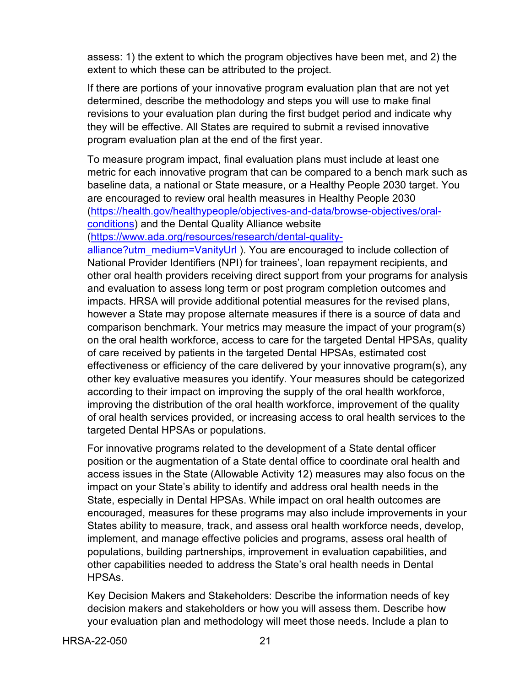assess: 1) the extent to which the program objectives have been met, and 2) the extent to which these can be attributed to the project.

If there are portions of your innovative program evaluation plan that are not yet determined, describe the methodology and steps you will use to make final revisions to your evaluation plan during the first budget period and indicate why they will be effective. All States are required to submit a revised innovative program evaluation plan at the end of the first year.

To measure program impact, final evaluation plans must include at least one metric for each innovative program that can be compared to a bench mark such as baseline data, a national or State measure, or a Healthy People 2030 target. You are encouraged to review oral health measures in Healthy People 2030 [\(https://health.gov/healthypeople/objectives-and-data/browse-objectives/oral](https://health.gov/healthypeople/objectives-and-data/browse-objectives/oral-conditions)[conditions\)](https://health.gov/healthypeople/objectives-and-data/browse-objectives/oral-conditions) and the Dental Quality Alliance website

[\(https://www.ada.org/resources/research/dental-quality-](https://www.ada.org/resources/research/dental-quality-alliance?utm_medium=VanityUrl)

[alliance?utm\\_medium=VanityUrl](https://www.ada.org/resources/research/dental-quality-alliance?utm_medium=VanityUrl) ). You are encouraged to include collection of National Provider Identifiers (NPI) for trainees', loan repayment recipients, and other oral health providers receiving direct support from your programs for analysis and evaluation to assess long term or post program completion outcomes and impacts. HRSA will provide additional potential measures for the revised plans, however a State may propose alternate measures if there is a source of data and comparison benchmark. Your metrics may measure the impact of your program(s) on the oral health workforce, access to care for the targeted Dental HPSAs, quality of care received by patients in the targeted Dental HPSAs, estimated cost effectiveness or efficiency of the care delivered by your innovative program(s), any other key evaluative measures you identify. Your measures should be categorized according to their impact on improving the supply of the oral health workforce, improving the distribution of the oral health workforce, improvement of the quality of oral health services provided, or increasing access to oral health services to the targeted Dental HPSAs or populations.

For innovative programs related to the development of a State dental officer position or the augmentation of a State dental office to coordinate oral health and access issues in the State (Allowable Activity 12) measures may also focus on the impact on your State's ability to identify and address oral health needs in the State, especially in Dental HPSAs. While impact on oral health outcomes are encouraged, measures for these programs may also include improvements in your States ability to measure, track, and assess oral health workforce needs, develop, implement, and manage effective policies and programs, assess oral health of populations, building partnerships, improvement in evaluation capabilities, and other capabilities needed to address the State's oral health needs in Dental HPSAs.

Key Decision Makers and Stakeholders: Describe the information needs of key decision makers and stakeholders or how you will assess them. Describe how your evaluation plan and methodology will meet those needs. Include a plan to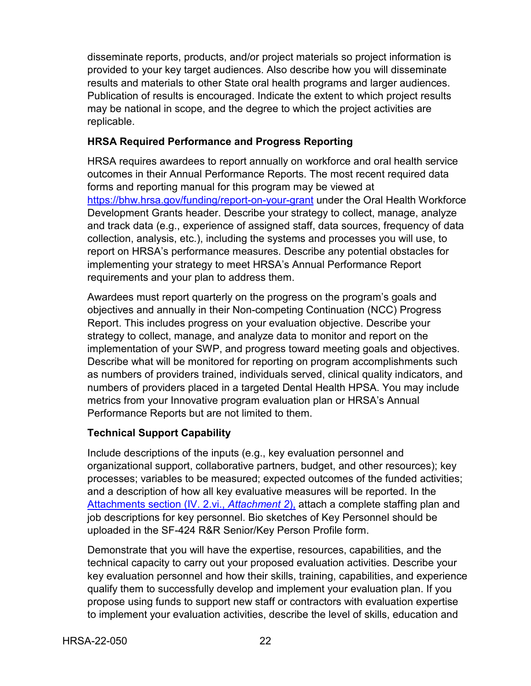disseminate reports, products, and/or project materials so project information is provided to your key target audiences. Also describe how you will disseminate results and materials to other State oral health programs and larger audiences. Publication of results is encouraged. Indicate the extent to which project results may be national in scope, and the degree to which the project activities are replicable.

### **HRSA Required Performance and Progress Reporting**

HRSA requires awardees to report annually on workforce and oral health service outcomes in their Annual Performance Reports. The most recent required data forms and reporting manual for this program may be viewed at <https://bhw.hrsa.gov/funding/report-on-your-grant> under the Oral Health Workforce Development Grants header. Describe your strategy to collect, manage, analyze and track data (e.g., experience of assigned staff, data sources, frequency of data collection, analysis, etc.), including the systems and processes you will use, to report on HRSA's performance measures. Describe any potential obstacles for implementing your strategy to meet HRSA's Annual Performance Report requirements and your plan to address them.

Awardees must report quarterly on the progress on the program's goals and objectives and annually in their Non-competing Continuation (NCC) Progress Report. This includes progress on your evaluation objective. Describe your strategy to collect, manage, and analyze data to monitor and report on the implementation of your SWP, and progress toward meeting goals and objectives. Describe what will be monitored for reporting on program accomplishments such as numbers of providers trained, individuals served, clinical quality indicators, and numbers of providers placed in a targeted Dental Health HPSA. You may include metrics from your Innovative program evaluation plan or HRSA's Annual Performance Reports but are not limited to them.

## **Technical Support Capability**

Include descriptions of the inputs (e.g., key evaluation personnel and organizational support, collaborative partners, budget, and other resources); key processes; variables to be measured; expected outcomes of the funded activities; and a description of how all key evaluative measures will be reported. In the [Attachments section \(IV. 2.vi.,](#page-32-0) *Attachment 2*), attach a complete staffing plan and job descriptions for key personnel. Bio sketches of Key Personnel should be uploaded in the SF-424 R&R Senior/Key Person Profile form.

Demonstrate that you will have the expertise, resources, capabilities, and the technical capacity to carry out your proposed evaluation activities. Describe your key evaluation personnel and how their skills, training, capabilities, and experience qualify them to successfully develop and implement your evaluation plan. If you propose using funds to support new staff or contractors with evaluation expertise to implement your evaluation activities, describe the level of skills, education and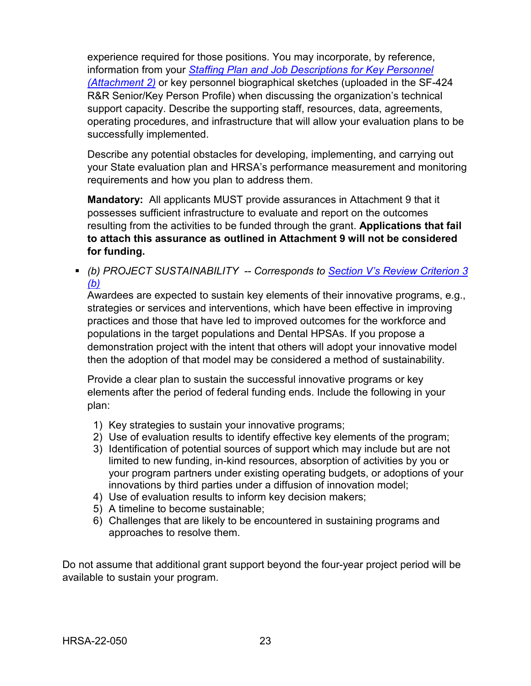experience required for those positions. You may incorporate, by reference, information from your *[Staffing Plan and Job Descriptions for Key Personnel](#page-32-0)  [\(Attachment 2\)](#page-32-0)* or key personnel biographical sketches (uploaded in the SF-424 R&R Senior/Key Person Profile) when discussing the organization's technical support capacity. Describe the supporting staff, resources, data, agreements, operating procedures, and infrastructure that will allow your evaluation plans to be successfully implemented.

Describe any potential obstacles for developing, implementing, and carrying out your State evaluation plan and HRSA's performance measurement and monitoring requirements and how you plan to address them.

**Mandatory:** All applicants MUST provide assurances in Attachment 9 that it possesses sufficient infrastructure to evaluate and report on the outcomes resulting from the activities to be funded through the grant. **Applications that fail to attach this assurance as outlined in Attachment 9 will not be considered for funding.**

<span id="page-26-0"></span> *(b) PROJECT SUSTAINABILITY -- Corresponds to [Section V's Review Criterion 3](#page-41-0)  [\(b\)](#page-41-0)*

Awardees are expected to sustain key elements of their innovative programs, e.g., strategies or services and interventions, which have been effective in improving practices and those that have led to improved outcomes for the workforce and populations in the target populations and Dental HPSAs. If you propose a demonstration project with the intent that others will adopt your innovative model then the adoption of that model may be considered a method of sustainability.

Provide a clear plan to sustain the successful innovative programs or key elements after the period of federal funding ends. Include the following in your plan:

- 1) Key strategies to sustain your innovative programs;
- 2) Use of evaluation results to identify effective key elements of the program;
- 3) Identification of potential sources of support which may include but are not limited to new funding, in-kind resources, absorption of activities by you or your program partners under existing operating budgets, or adoptions of your innovations by third parties under a diffusion of innovation model;
- 4) Use of evaluation results to inform key decision makers;
- 5) A timeline to become sustainable;
- 6) Challenges that are likely to be encountered in sustaining programs and approaches to resolve them.

Do not assume that additional grant support beyond the four-year project period will be available to sustain your program.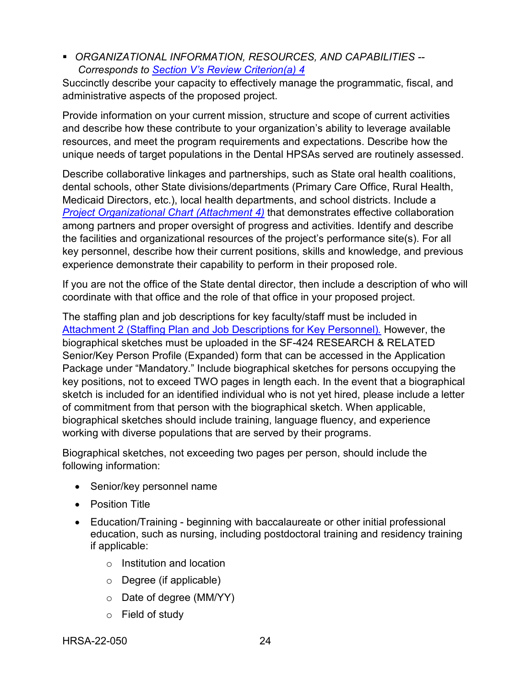<span id="page-27-0"></span> *ORGANIZATIONAL INFORMATION, RESOURCES, AND CAPABILITIES -- Corresponds to [Section V's Review Criterion\(a\) 4](#page-41-1)*

Succinctly describe your capacity to effectively manage the programmatic, fiscal, and administrative aspects of the proposed project.

Provide information on your current mission, structure and scope of current activities and describe how these contribute to your organization's ability to leverage available resources, and meet the program requirements and expectations. Describe how the unique needs of target populations in the Dental HPSAs served are routinely assessed.

Describe collaborative linkages and partnerships, such as State oral health coalitions, dental schools, other State divisions/departments (Primary Care Office, Rural Health, Medicaid Directors, etc.), local health departments, and school districts. Include a *[Project Organizational Chart \(Attachment 4\)](#page-32-0)* that demonstrates effective collaboration among partners and proper oversight of progress and activities. Identify and describe the facilities and organizational resources of the project's performance site(s). For all key personnel, describe how their current positions, skills and knowledge, and previous experience demonstrate their capability to perform in their proposed role.

If you are not the office of the State dental director, then include a description of who will coordinate with that office and the role of that office in your proposed project.

The staffing plan and job descriptions for key faculty/staff must be included in [Attachment 2 \(Staffing Plan and Job Descriptions for Key Personnel\)](#page-32-0)*.* However, the biographical sketches must be uploaded in the SF-424 RESEARCH & RELATED Senior/Key Person Profile (Expanded) form that can be accessed in the Application Package under "Mandatory." Include biographical sketches for persons occupying the key positions, not to exceed TWO pages in length each. In the event that a biographical sketch is included for an identified individual who is not yet hired, please include a letter of commitment from that person with the biographical sketch. When applicable, biographical sketches should include training, language fluency, and experience working with diverse populations that are served by their programs.

Biographical sketches, not exceeding two pages per person, should include the following information:

- Senior/key personnel name
- Position Title
- Education/Training beginning with baccalaureate or other initial professional education, such as nursing, including postdoctoral training and residency training if applicable:
	- o Institution and location
	- o Degree (if applicable)
	- o Date of degree (MM/YY)
	- o Field of study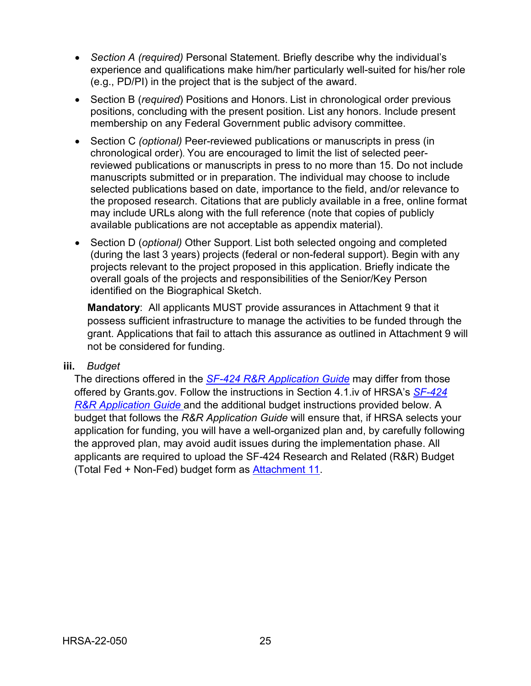- *Section A (required)* Personal Statement. Briefly describe why the individual's experience and qualifications make him/her particularly well-suited for his/her role (e.g., PD/PI) in the project that is the subject of the award.
- Section B (*required*) Positions and Honors. List in chronological order previous positions, concluding with the present position. List any honors. Include present membership on any Federal Government public advisory committee.
- Section C *(optional)* Peer-reviewed publications or manuscripts in press (in chronological order). You are encouraged to limit the list of selected peerreviewed publications or manuscripts in press to no more than 15. Do not include manuscripts submitted or in preparation. The individual may choose to include selected publications based on date, importance to the field, and/or relevance to the proposed research. Citations that are publicly available in a free, online format may include URLs along with the full reference (note that copies of publicly available publications are not acceptable as appendix material).
- Section D (*optional)* Other Support. List both selected ongoing and completed (during the last 3 years) projects (federal or non-federal support). Begin with any projects relevant to the project proposed in this application. Briefly indicate the overall goals of the projects and responsibilities of the Senior/Key Person identified on the Biographical Sketch.

**Mandatory**: All applicants MUST provide assurances in Attachment 9 that it possess sufficient infrastructure to manage the activities to be funded through the grant. Applications that fail to attach this assurance as outlined in Attachment 9 will not be considered for funding.

#### <span id="page-28-0"></span>**iii.** *Budget*

The directions offered in the *SF-424 R&R [Application Guide](http://www.hrsa.gov/grants/apply/applicationguide/sf424rrguidev2.pdf)* may differ from those offered by Grants.gov. Follow the instructions in Section 4.1.iv of HRSA's *[SF-424](http://www.hrsa.gov/grants/apply/applicationguide/sf424rrguidev2.pdf) R&R [Application Guide](http://www.hrsa.gov/grants/apply/applicationguide/sf424rrguidev2.pdf)* and the additional budget instructions provided below. A budget that follows the *R&R Application Guide* will ensure that, if HRSA selects your application for funding, you will have a well-organized plan and, by carefully following the approved plan, may avoid audit issues during the implementation phase. All applicants are required to upload the SF-424 Research and Related (R&R) Budget (Total Fed + Non-Fed) budget form as [Attachment 11.](#page-35-1)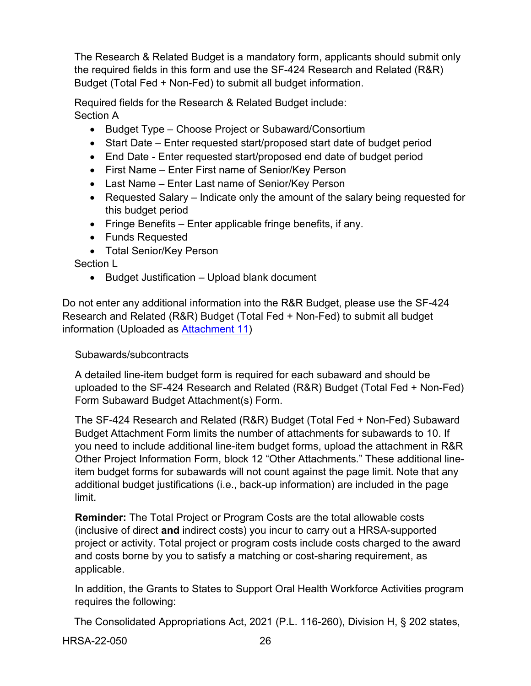The Research & Related Budget is a mandatory form, applicants should submit only the required fields in this form and use the SF-424 Research and Related (R&R) Budget (Total Fed + Non-Fed) to submit all budget information.

Required fields for the Research & Related Budget include: Section A

- Budget Type Choose Project or Subaward/Consortium
- Start Date Enter requested start/proposed start date of budget period
- End Date Enter requested start/proposed end date of budget period
- First Name Enter First name of Senior/Key Person
- Last Name Enter Last name of Senior/Key Person
- Requested Salary Indicate only the amount of the salary being requested for this budget period
- Fringe Benefits Enter applicable fringe benefits, if any.
- Funds Requested
- Total Senior/Key Person

Section L

• Budget Justification – Upload blank document

Do not enter any additional information into the R&R Budget, please use the SF-424 Research and Related (R&R) Budget (Total Fed + Non-Fed) to submit all budget information (Uploaded as [Attachment 11\)](#page-35-1)

## Subawards/subcontracts

A detailed line-item budget form is required for each subaward and should be uploaded to the SF-424 Research and Related (R&R) Budget (Total Fed + Non-Fed) Form Subaward Budget Attachment(s) Form.

The SF-424 Research and Related (R&R) Budget (Total Fed + Non-Fed) Subaward Budget Attachment Form limits the number of attachments for subawards to 10. If you need to include additional line-item budget forms, upload the attachment in R&R Other Project Information Form, block 12 "Other Attachments." These additional lineitem budget forms for subawards will not count against the page limit. Note that any additional budget justifications (i.e., back-up information) are included in the page limit.

**Reminder:** The Total Project or Program Costs are the total allowable costs (inclusive of direct **and** indirect costs) you incur to carry out a HRSA-supported project or activity. Total project or program costs include costs charged to the award and costs borne by you to satisfy a matching or cost-sharing requirement, as applicable.

In addition, the Grants to States to Support Oral Health Workforce Activities program requires the following:

The Consolidated Appropriations Act, 2021 (P.L. 116-260), Division H, § 202 states,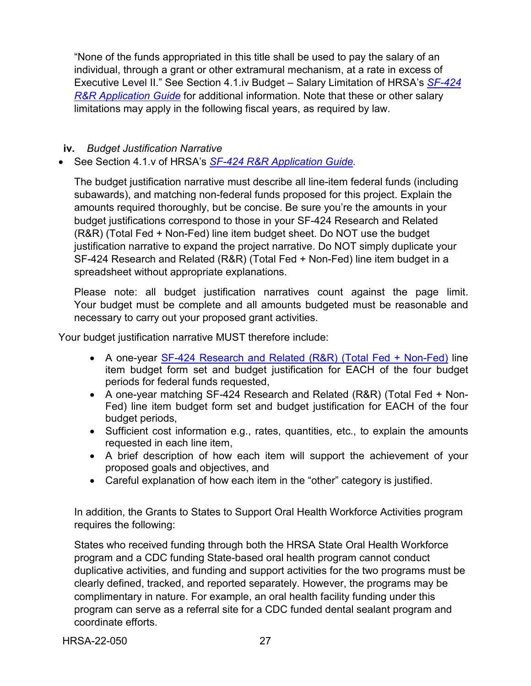"None of the funds appropriated in this title shall be used to pay the salary of an individual, through a grant or other extramural mechanism, at a rate in excess of Executive Level II." See Section 4.1.iv Budget – Salary Limitation of HRSA's *[SF-424](http://www.hrsa.gov/grants/apply/applicationguide/sf424rrguidev2.pdf) R&R [Application Guide](http://www.hrsa.gov/grants/apply/applicationguide/sf424rrguidev2.pdf)* for additional information. Note that these or other salary limitations may apply in the following fiscal years, as required by law.

<span id="page-30-0"></span>**iv.** *Budget Justification Narrative*

• See Section 4.1.v of HRSA's *SF-424 R&R [Application Guide.](http://www.hrsa.gov/grants/apply/applicationguide/sf424rrguidev2.pdf)*

The budget justification narrative must describe all line-item federal funds (including subawards), and matching non-federal funds proposed for this project. Explain the amounts required thoroughly, but be concise. Be sure you're the amounts in your budget justifications correspond to those in your SF-424 Research and Related (R&R) (Total Fed + Non-Fed) line item budget sheet. Do NOT use the budget justification narrative to expand the project narrative. Do NOT simply duplicate your SF-424 Research and Related (R&R) (Total Fed + Non-Fed) line item budget in a spreadsheet without appropriate explanations.

Please note: all budget justification narratives count against the page limit. Your budget must be complete and all amounts budgeted must be reasonable and necessary to carry out your proposed grant activities.

Your budget justification narrative MUST therefore include:

- A one-year SF-424 [Research and Related \(R&R\) \(Total Fed + Non-Fed\)](https://www.grants.gov/web/grants/forms/r-r-family.html) line item budget form set and budget justification for EACH of the four budget periods for federal funds requested,
- A one-year matching SF-424 Research and Related (R&R) (Total Fed + Non-Fed) line item budget form set and budget justification for EACH of the four budget periods,
- Sufficient cost information e.g., rates, quantities, etc., to explain the amounts requested in each line item,
- A brief description of how each item will support the achievement of your proposed goals and objectives, and
- Careful explanation of how each item in the "other" category is justified.

In addition, the Grants to States to Support Oral Health Workforce Activities program requires the following:

States who received funding through both the HRSA State Oral Health Workforce program and a CDC funding State-based oral health program cannot conduct duplicative activities, and funding and support activities for the two programs must be clearly defined, tracked, and reported separately. However, the programs may be complimentary in nature. For example, an oral health facility funding under this program can serve as a referral site for a CDC funded dental sealant program and coordinate efforts.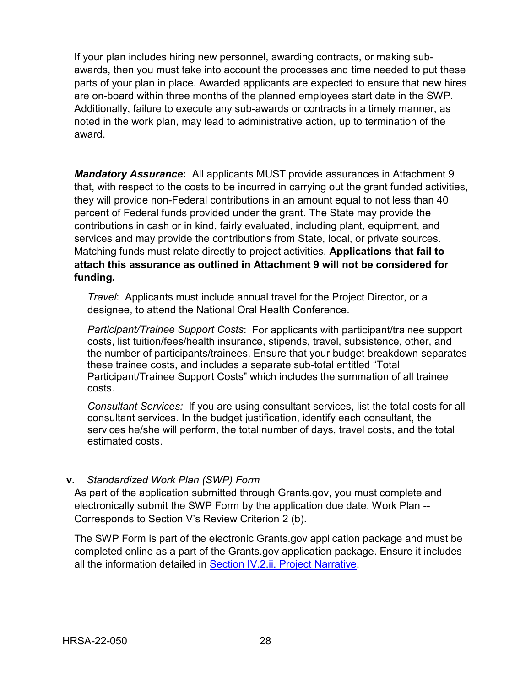If your plan includes hiring new personnel, awarding contracts, or making subawards, then you must take into account the processes and time needed to put these parts of your plan in place. Awarded applicants are expected to ensure that new hires are on-board within three months of the planned employees start date in the SWP. Additionally, failure to execute any sub-awards or contracts in a timely manner, as noted in the work plan, may lead to administrative action, up to termination of the award.

*Mandatory Assurance***:** All applicants MUST provide assurances in Attachment 9 that, with respect to the costs to be incurred in carrying out the grant funded activities, they will provide non-Federal contributions in an amount equal to not less than 40 percent of Federal funds provided under the grant. The State may provide the contributions in cash or in kind, fairly evaluated, including plant, equipment, and services and may provide the contributions from State, local, or private sources. Matching funds must relate directly to project activities. **Applications that fail to attach this assurance as outlined in Attachment 9 will not be considered for funding.**

*Travel*: Applicants must include annual travel for the Project Director, or a designee, to attend the National Oral Health Conference.

*Participant/Trainee Support Costs*: For applicants with participant/trainee support costs, list tuition/fees/health insurance, stipends, travel, subsistence, other, and the number of participants/trainees. Ensure that your budget breakdown separates these trainee costs, and includes a separate sub-total entitled "Total Participant/Trainee Support Costs" which includes the summation of all trainee costs.

*Consultant Services:* If you are using consultant services, list the total costs for all consultant services. In the budget justification, identify each consultant, the services he/she will perform, the total number of days, travel costs, and the total estimated costs.

#### <span id="page-31-0"></span>**v.** *Standardized Work Plan (SWP) Form*

As part of the application submitted through Grants.gov, you must complete and electronically submit the SWP Form by the application due date. Work Plan -- Corresponds to Section V's Review Criterion 2 (b).

The SWP Form is part of the electronic Grants.gov application package and must be completed online as a part of the Grants.gov application package. Ensure it includes all the information detailed in [Section IV.2.ii. Project Narrative.](#page-17-0)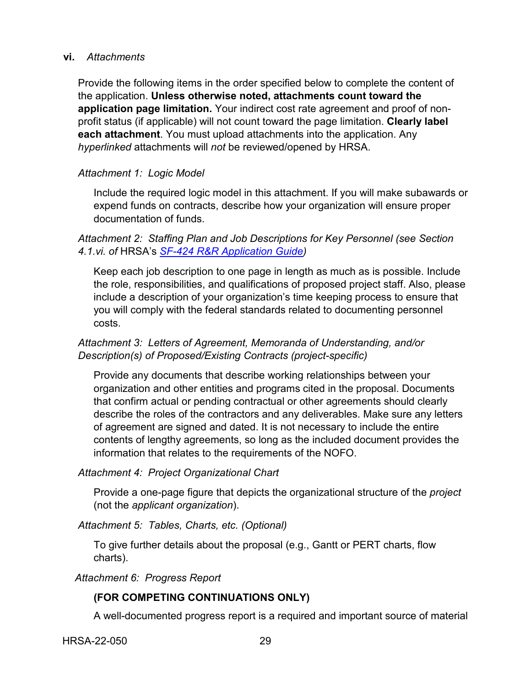#### <span id="page-32-0"></span>**vi.** *Attachments*

Provide the following items in the order specified below to complete the content of the application. **Unless otherwise noted, attachments count toward the application page limitation.** Your indirect cost rate agreement and proof of nonprofit status (if applicable) will not count toward the page limitation. **Clearly label each attachment**. You must upload attachments into the application. Any *hyperlinked* attachments will *not* be reviewed/opened by HRSA.

#### *Attachment 1: Logic Model*

Include the required logic model in this attachment. If you will make subawards or expend funds on contracts, describe how your organization will ensure proper documentation of funds.

#### *Attachment 2: Staffing Plan and Job Descriptions for Key Personnel (see Section 4.1.vi. of* HRSA's *SF-424 R&R [Application Guide\)](http://www.hrsa.gov/grants/apply/applicationguide/sf424rrguidev2.pdf)*

Keep each job description to one page in length as much as is possible. Include the role, responsibilities, and qualifications of proposed project staff. Also, please include a description of your organization's time keeping process to ensure that you will comply with the federal standards related to documenting personnel costs.

#### *Attachment 3: Letters of Agreement, Memoranda of Understanding, and/or Description(s) of Proposed/Existing Contracts (project-specific)*

Provide any documents that describe working relationships between your organization and other entities and programs cited in the proposal. Documents that confirm actual or pending contractual or other agreements should clearly describe the roles of the contractors and any deliverables. Make sure any letters of agreement are signed and dated. It is not necessary to include the entire contents of lengthy agreements, so long as the included document provides the information that relates to the requirements of the NOFO.

#### *Attachment 4: Project Organizational Chart*

Provide a one-page figure that depicts the organizational structure of the *project* (not the *applicant organization*).

*Attachment 5: Tables, Charts, etc. (Optional)*

To give further details about the proposal (e.g., Gantt or PERT charts, flow charts).

*Attachment 6: Progress Report* 

#### **(FOR COMPETING CONTINUATIONS ONLY)**

A well-documented progress report is a required and important source of material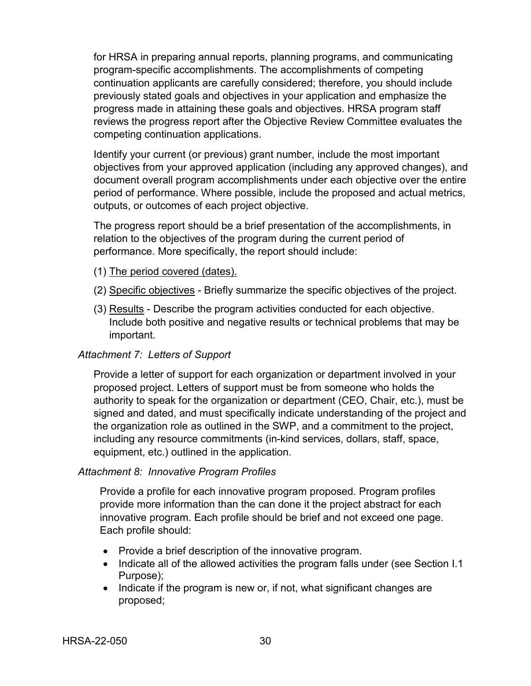for HRSA in preparing annual reports, planning programs, and communicating program-specific accomplishments. The accomplishments of competing continuation applicants are carefully considered; therefore, you should include previously stated goals and objectives in your application and emphasize the progress made in attaining these goals and objectives. HRSA program staff reviews the progress report after the Objective Review Committee evaluates the competing continuation applications.

Identify your current (or previous) grant number, include the most important objectives from your approved application (including any approved changes), and document overall program accomplishments under each objective over the entire period of performance. Where possible, include the proposed and actual metrics, outputs, or outcomes of each project objective.

The progress report should be a brief presentation of the accomplishments, in relation to the objectives of the program during the current period of performance. More specifically, the report should include:

- (1) The period covered (dates).
- (2) Specific objectives Briefly summarize the specific objectives of the project.
- (3) Results Describe the program activities conducted for each objective. Include both positive and negative results or technical problems that may be important.

#### *Attachment 7: Letters of Support*

Provide a letter of support for each organization or department involved in your proposed project. Letters of support must be from someone who holds the authority to speak for the organization or department (CEO, Chair, etc.), must be signed and dated, and must specifically indicate understanding of the project and the organization role as outlined in the SWP, and a commitment to the project, including any resource commitments (in-kind services, dollars, staff, space, equipment, etc.) outlined in the application.

#### *Attachment 8: Innovative Program Profiles*

Provide a profile for each innovative program proposed. Program profiles provide more information than the can done it the project abstract for each innovative program. Each profile should be brief and not exceed one page. Each profile should:

- Provide a brief description of the innovative program.
- Indicate all of the allowed activities the program falls under (see Section I.1 Purpose);
- Indicate if the program is new or, if not, what significant changes are proposed;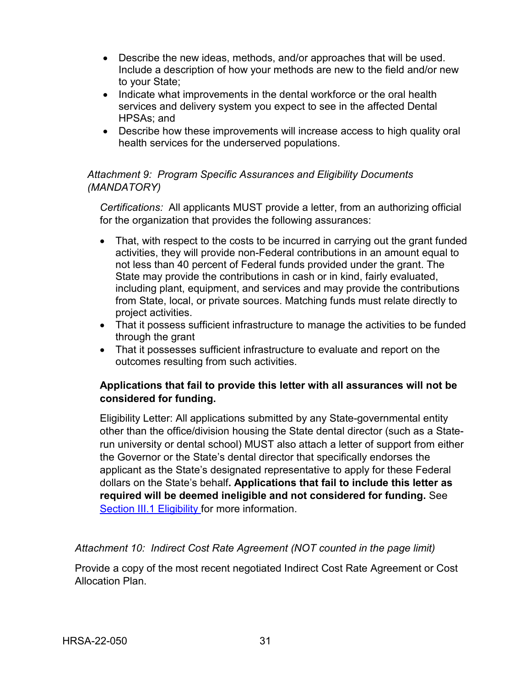- Describe the new ideas, methods, and/or approaches that will be used. Include a description of how your methods are new to the field and/or new to your State;
- Indicate what improvements in the dental workforce or the oral health services and delivery system you expect to see in the affected Dental HPSAs; and
- Describe how these improvements will increase access to high quality oral health services for the underserved populations.

## *Attachment 9: Program Specific Assurances and Eligibility Documents (MANDATORY)*

*Certifications:* All applicants MUST provide a letter, from an authorizing official for the organization that provides the following assurances:

- That, with respect to the costs to be incurred in carrying out the grant funded activities, they will provide non-Federal contributions in an amount equal to not less than 40 percent of Federal funds provided under the grant. The State may provide the contributions in cash or in kind, fairly evaluated, including plant, equipment, and services and may provide the contributions from State, local, or private sources. Matching funds must relate directly to project activities.
- That it possess sufficient infrastructure to manage the activities to be funded through the grant
- That it possesses sufficient infrastructure to evaluate and report on the outcomes resulting from such activities.

#### **Applications that fail to provide this letter with all assurances will not be considered for funding.**

Eligibility Letter: All applications submitted by any State-governmental entity other than the office/division housing the State dental director (such as a Staterun university or dental school) MUST also attach a letter of support from either the Governor or the State's dental director that specifically endorses the applicant as the State's designated representative to apply for these Federal dollars on the State's behalf**. Applications that fail to include this letter as required will be deemed ineligible and not considered for funding.** See [Section III.1 Eligibility f](#page-12-0)or more information.

*Attachment 10: Indirect Cost Rate Agreement (NOT counted in the page limit)*

Provide a copy of the most recent negotiated Indirect Cost Rate Agreement or Cost Allocation Plan.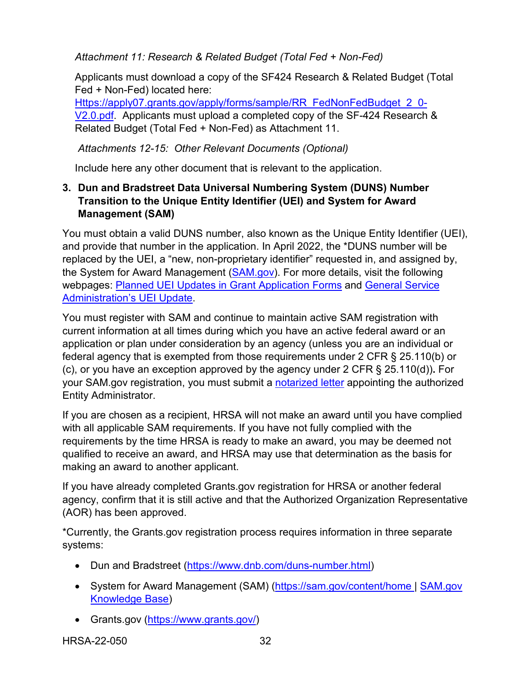<span id="page-35-1"></span>*Attachment 11: Research & Related Budget (Total Fed + Non-Fed)*

Applicants must download a copy of the SF424 Research & Related Budget (Total Fed + Non-Fed) located here:

[Https://apply07.grants.gov/apply/forms/sample/RR\\_FedNonFedBudget\\_2\\_0-](https://apply07.grants.gov/apply/forms/sample/RR_FedNonFedBudget_2_0-V2.0.pdf) [V2.0.pdf.](https://apply07.grants.gov/apply/forms/sample/RR_FedNonFedBudget_2_0-V2.0.pdf) Applicants must upload a completed copy of the SF-424 Research & Related Budget (Total Fed + Non-Fed) as Attachment 11.

*Attachments 12-15: Other Relevant Documents (Optional)*

Include here any other document that is relevant to the application.

## <span id="page-35-0"></span>**3. Dun and Bradstreet Data Universal Numbering System (DUNS) Number Transition to the Unique Entity Identifier (UEI) and System for Award Management (SAM)**

You must obtain a valid DUNS number, also known as the Unique Entity Identifier (UEI), and provide that number in the application. In April 2022, the \*DUNS number will be replaced by the UEI, a "new, non-proprietary identifier" requested in, and assigned by, the System for Award Management [\(SAM.gov\)](https://sam.gov/content/home). For more details, visit the following webpages: [Planned UEI Updates in Grant Application Forms](https://www.grants.gov/web/grants/forms/planned-uei-updates.html) and [General Service](https://www.gsa.gov/entityid)  [Administration's](https://www.gsa.gov/entityid) UEI Update.

You must register with SAM and continue to maintain active SAM registration with current information at all times during which you have an active federal award or an application or plan under consideration by an agency (unless you are an individual or federal agency that is exempted from those requirements under 2 CFR § 25.110(b) or (c), or you have an exception approved by the agency under 2 CFR § 25.110(d))**.** For your SAM.gov registration, you must submit a [notarized letter](https://www.fsd.gov/fsd-gov/answer.do?sysparm_kbid=d2e67885db0d5f00b3257d321f96194b&sysparm_search=kb0013183) appointing the authorized Entity Administrator.

If you are chosen as a recipient, HRSA will not make an award until you have complied with all applicable SAM requirements. If you have not fully complied with the requirements by the time HRSA is ready to make an award, you may be deemed not qualified to receive an award, and HRSA may use that determination as the basis for making an award to another applicant.

If you have already completed Grants.gov registration for HRSA or another federal agency, confirm that it is still active and that the Authorized Organization Representative (AOR) has been approved.

\*Currently, the Grants.gov registration process requires information in three separate systems:

- Dun and Bradstreet [\(https://www.dnb.com/duns-number.html\)](https://www.dnb.com/duns-number.html)
- System for Award Management (SAM) [\(https://sam.gov/content/home](https://sam.gov/content/home) | SAM.gov [Knowledge Base\)](https://www.fsd.gov/gsafsd_sp?id=gsa_kb_view2&kb_id=f66d8e6cdb76d4100d73f81d0f9619c6)
- Grants.gov [\(https://www.grants.gov/\)](https://www.grants.gov/)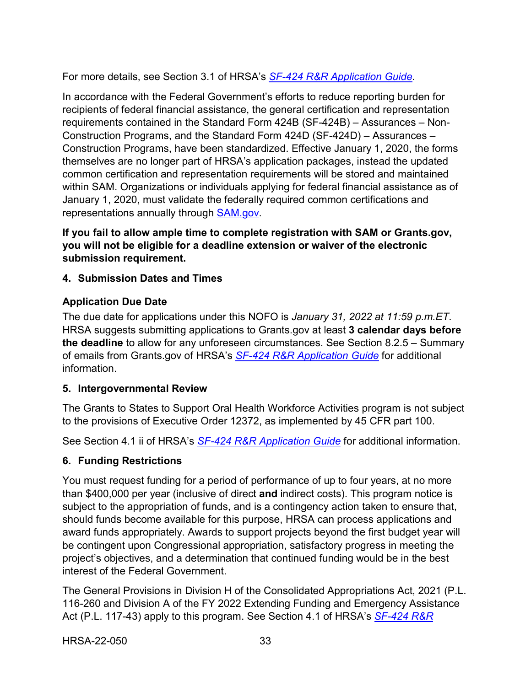For more details, see Section 3.1 of HRSA's *SF-424 R&R [Application Guide.](http://www.hrsa.gov/grants/apply/applicationguide/sf424rrguidev2.pdf)*

In accordance with the Federal Government's efforts to reduce reporting burden for recipients of federal financial assistance, the general certification and representation requirements contained in the Standard Form 424B (SF-424B) – Assurances – Non-Construction Programs, and the Standard Form 424D (SF-424D) – Assurances – Construction Programs, have been standardized. Effective January 1, 2020, the forms themselves are no longer part of HRSA's application packages, instead the updated common certification and representation requirements will be stored and maintained within SAM. Organizations or individuals applying for federal financial assistance as of January 1, 2020, must validate the federally required common certifications and representations annually through [SAM.gov.](https://sam.gov/content/home)

**If you fail to allow ample time to complete registration with SAM or Grants.gov, you will not be eligible for a deadline extension or waiver of the electronic submission requirement.**

## <span id="page-36-0"></span>**4. Submission Dates and Times**

## **Application Due Date**

The due date for applications under this NOFO is *January 31, 2022 at 11:59 p.m.ET*. HRSA suggests submitting applications to Grants.gov at least **3 calendar days before the deadline** to allow for any unforeseen circumstances. See Section 8.2.5 – Summary of emails from Grants.gov of HRSA's *SF-424 R&R [Application Guide](http://www.hrsa.gov/grants/apply/applicationguide/sf424rrguidev2.pdf)* for additional information.

#### <span id="page-36-1"></span>**5. Intergovernmental Review**

The Grants to States to Support Oral Health Workforce Activities program is not subject to the provisions of Executive Order 12372, as implemented by 45 CFR part 100.

See Section 4.1 ii of HRSA's *SF-424 R&R [Application Guide](http://www.hrsa.gov/grants/apply/applicationguide/sf424rrguidev2.pdf)* for additional information.

## <span id="page-36-2"></span>**6. Funding Restrictions**

You must request funding for a period of performance of up to four years, at no more than \$400,000 per year (inclusive of direct **and** indirect costs). This program notice is subject to the appropriation of funds, and is a contingency action taken to ensure that, should funds become available for this purpose, HRSA can process applications and award funds appropriately. Awards to support projects beyond the first budget year will be contingent upon Congressional appropriation, satisfactory progress in meeting the project's objectives, and a determination that continued funding would be in the best interest of the Federal Government.

The General Provisions in Division H of the Consolidated Appropriations Act, 2021 (P.L. 116-260 and Division A of the FY 2022 Extending Funding and Emergency Assistance Act (P.L. 117-43) apply to this program. See Section 4.1 of HRSA's *[SF-424 R&R](http://www.hrsa.gov/grants/apply/applicationguide/sf424rrguidev2.pdf)*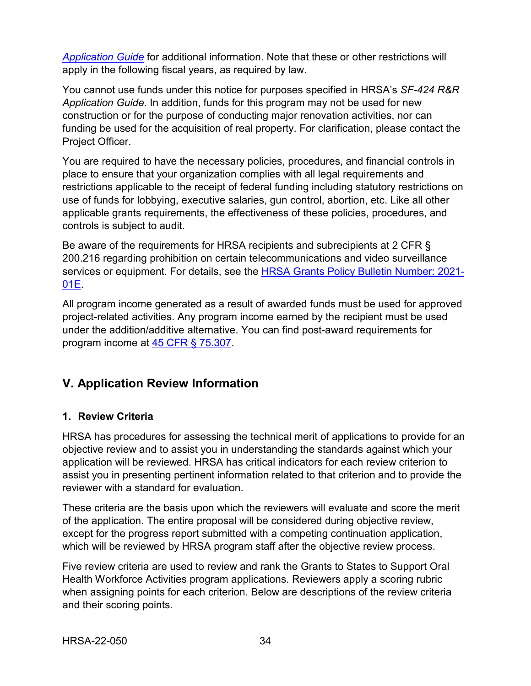*[Application Guide](http://www.hrsa.gov/grants/apply/applicationguide/sf424rrguidev2.pdf)* for additional information. Note that these or other restrictions will apply in the following fiscal years, as required by law.

You cannot use funds under this notice for purposes specified in HRSA's *SF-424 R&R Application Guide*. In addition, funds for this program may not be used for new construction or for the purpose of conducting major renovation activities, nor can funding be used for the acquisition of real property. For clarification, please contact the Project Officer.

You are required to have the necessary policies, procedures, and financial controls in place to ensure that your organization complies with all legal requirements and restrictions applicable to the receipt of federal funding including statutory restrictions on use of funds for lobbying, executive salaries, gun control, abortion, etc. Like all other applicable grants requirements, the effectiveness of these policies, procedures, and controls is subject to audit.

Be aware of the requirements for HRSA recipients and subrecipients at 2 CFR § 200.216 regarding prohibition on certain telecommunications and video surveillance services or equipment. For details, see the [HRSA Grants Policy Bulletin Number: 2021-](https://www.hrsa.gov/sites/default/files/hrsa/grants/manage/grants-policy-bulletin-2021.pdf) [01E.](https://www.hrsa.gov/sites/default/files/hrsa/grants/manage/grants-policy-bulletin-2021.pdf)

All program income generated as a result of awarded funds must be used for approved project-related activities. Any program income earned by the recipient must be used under the addition/additive alternative. You can find post-award requirements for program income at [45 CFR § 75.307.](https://www.ecfr.gov/cgi-bin/retrieveECFR?gp=1&SID=4d52364ec83fab994c665943dadf9cf7&ty=HTML&h=L&r=PART&n=pt45.1.75)

## <span id="page-37-0"></span>**V. Application Review Information**

## <span id="page-37-1"></span>**1. Review Criteria**

HRSA has procedures for assessing the technical merit of applications to provide for an objective review and to assist you in understanding the standards against which your application will be reviewed. HRSA has critical indicators for each review criterion to assist you in presenting pertinent information related to that criterion and to provide the reviewer with a standard for evaluation.

These criteria are the basis upon which the reviewers will evaluate and score the merit of the application. The entire proposal will be considered during objective review, except for the progress report submitted with a competing continuation application, which will be reviewed by HRSA program staff after the objective review process.

Five review criteria are used to review and rank the Grants to States to Support Oral Health Workforce Activities program applications. Reviewers apply a scoring rubric when assigning points for each criterion. Below are descriptions of the review criteria and their scoring points.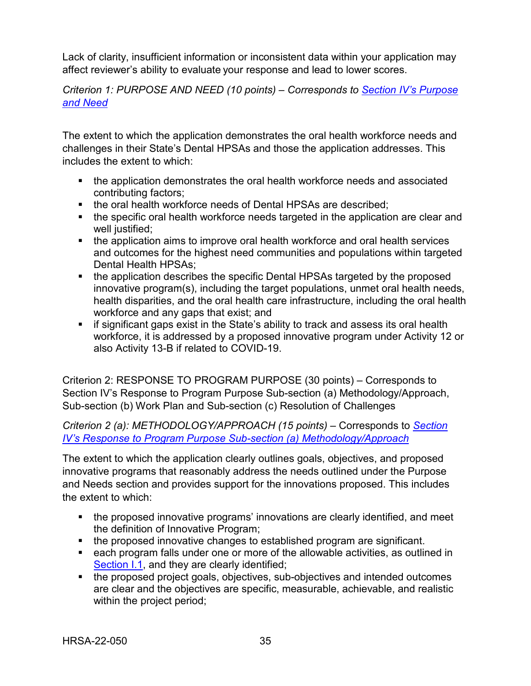Lack of clarity, insufficient information or inconsistent data within your application may affect reviewer's ability to evaluate your response and lead to lower scores.

<span id="page-38-0"></span>*Criterion 1: PURPOSE AND NEED (10 points) – Corresponds to [Section IV's Purpose](#page-18-1)  [and Need](#page-18-1)*

The extent to which the application demonstrates the oral health workforce needs and challenges in their State's Dental HPSAs and those the application addresses. This includes the extent to which:

- the application demonstrates the oral health workforce needs and associated contributing factors;
- the oral health workforce needs of Dental HPSAs are described;
- the specific oral health workforce needs targeted in the application are clear and well justified;
- the application aims to improve oral health workforce and oral health services and outcomes for the highest need communities and populations within targeted Dental Health HPSAs;
- the application describes the specific Dental HPSAs targeted by the proposed innovative program(s), including the target populations, unmet oral health needs, health disparities, and the oral health care infrastructure, including the oral health workforce and any gaps that exist; and
- **F** if significant gaps exist in the State's ability to track and assess its oral health workforce, it is addressed by a proposed innovative program under Activity 12 or also Activity 13-B if related to COVID-19.

<span id="page-38-1"></span>Criterion 2: RESPONSE TO PROGRAM PURPOSE (30 points) – Corresponds to Section IV's Response to Program Purpose Sub-section (a) Methodology/Approach, Sub-section (b) Work Plan and Sub-section (c) Resolution of Challenges

*Criterion 2 (a): METHODOLOGY/APPROACH (15 points) –* Corresponds to *[Section](#page-19-0)  [IV's Response to Program Purpose Sub-section \(a\) Methodology/Approach](#page-19-0)*

The extent to which the application clearly outlines goals, objectives, and proposed innovative programs that reasonably address the needs outlined under the Purpose and Needs section and provides support for the innovations proposed. This includes the extent to which:

- the proposed innovative programs' innovations are clearly identified, and meet the definition of Innovative Program;
- the proposed innovative changes to established program are significant.
- each program falls under one or more of the allowable activities, as outlined in [Section I.1,](#page-4-1) and they are clearly identified;
- the proposed project goals, objectives, sub-objectives and intended outcomes are clear and the objectives are specific, measurable, achievable, and realistic within the project period;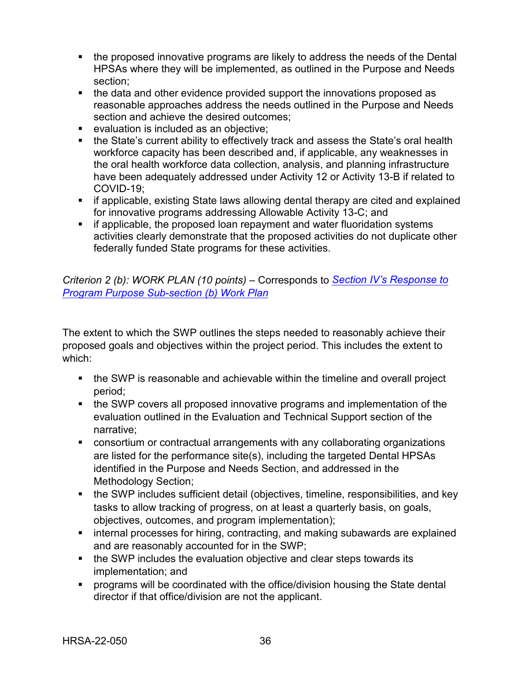- the proposed innovative programs are likely to address the needs of the Dental HPSAs where they will be implemented, as outlined in the Purpose and Needs section;
- the data and other evidence provided support the innovations proposed as reasonable approaches address the needs outlined in the Purpose and Needs section and achieve the desired outcomes;
- **EXECTE:** evaluation is included as an objective;
- the State's current ability to effectively track and assess the State's oral health workforce capacity has been described and, if applicable, any weaknesses in the oral health workforce data collection, analysis, and planning infrastructure have been adequately addressed under Activity 12 or Activity 13-B if related to COVID-19;
- **F** if applicable, existing State laws allowing dental therapy are cited and explained for innovative programs addressing Allowable Activity 13-C; and
- **F** if applicable, the proposed loan repayment and water fluoridation systems activities clearly demonstrate that the proposed activities do not duplicate other federally funded State programs for these activities.

<span id="page-39-0"></span>*Criterion 2 (b): WORK PLAN (10 points) –* Corresponds to *[Section IV's Response to](#page-21-0)  [Program Purpose Sub-section \(b\) Work Plan](#page-21-0)*

The extent to which the SWP outlines the steps needed to reasonably achieve their proposed goals and objectives within the project period. This includes the extent to which:

- the SWP is reasonable and achievable within the timeline and overall project period;
- the SWP covers all proposed innovative programs and implementation of the evaluation outlined in the Evaluation and Technical Support section of the narrative;
- consortium or contractual arrangements with any collaborating organizations are listed for the performance site(s), including the targeted Dental HPSAs identified in the Purpose and Needs Section, and addressed in the Methodology Section;
- the SWP includes sufficient detail (objectives, timeline, responsibilities, and key tasks to allow tracking of progress, on at least a quarterly basis, on goals, objectives, outcomes, and program implementation);
- **EXT** internal processes for hiring, contracting, and making subawards are explained and are reasonably accounted for in the SWP;
- the SWP includes the evaluation objective and clear steps towards its implementation; and
- programs will be coordinated with the office/division housing the State dental director if that office/division are not the applicant.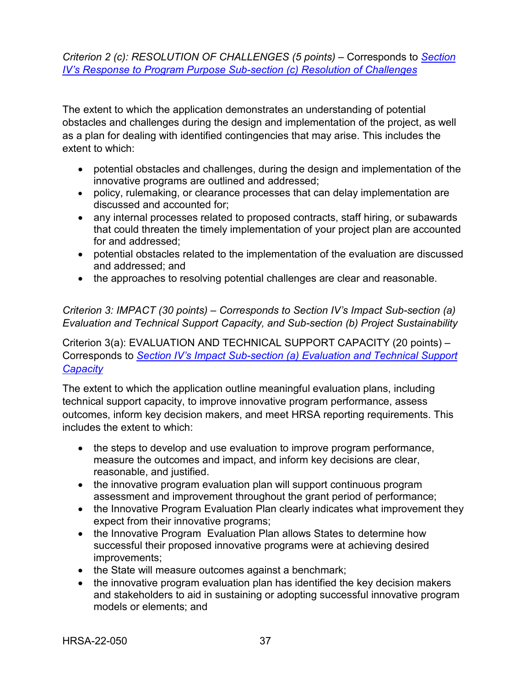<span id="page-40-0"></span>*Criterion 2 (c): RESOLUTION OF CHALLENGES (5 points) –* Corresponds to *[Section](#page-22-1) [IV's Response to Program Purpose Sub-section \(c\) Resolution of Challenges](#page-22-1)*

The extent to which the application demonstrates an understanding of potential obstacles and challenges during the design and implementation of the project, as well as a plan for dealing with identified contingencies that may arise. This includes the extent to which:

- potential obstacles and challenges, during the design and implementation of the innovative programs are outlined and addressed;
- policy, rulemaking, or clearance processes that can delay implementation are discussed and accounted for;
- any internal processes related to proposed contracts, staff hiring, or subawards that could threaten the timely implementation of your project plan are accounted for and addressed;
- potential obstacles related to the implementation of the evaluation are discussed and addressed; and
- the approaches to resolving potential challenges are clear and reasonable.

### *Criterion 3: IMPACT (30 points) – Corresponds to Section IV's Impact Sub-section (a) Evaluation and Technical Support Capacity, and Sub-section (b) Project Sustainability*

<span id="page-40-1"></span>Criterion 3(a): EVALUATION AND TECHNICAL SUPPORT CAPACITY (20 points) – Corresponds to *[Section IV's Impact Sub-section \(a\) Evaluation and Technical Support](#page-22-0)  [Capacity](#page-22-0)*

The extent to which the application outline meaningful evaluation plans, including technical support capacity, to improve innovative program performance, assess outcomes, inform key decision makers, and meet HRSA reporting requirements. This includes the extent to which:

- the steps to develop and use evaluation to improve program performance, measure the outcomes and impact, and inform key decisions are clear, reasonable, and justified.
- the innovative program evaluation plan will support continuous program assessment and improvement throughout the grant period of performance;
- the Innovative Program Evaluation Plan clearly indicates what improvement they expect from their innovative programs;
- the Innovative Program Evaluation Plan allows States to determine how successful their proposed innovative programs were at achieving desired improvements;
- the State will measure outcomes against a benchmark;
- the innovative program evaluation plan has identified the key decision makers and stakeholders to aid in sustaining or adopting successful innovative program models or elements; and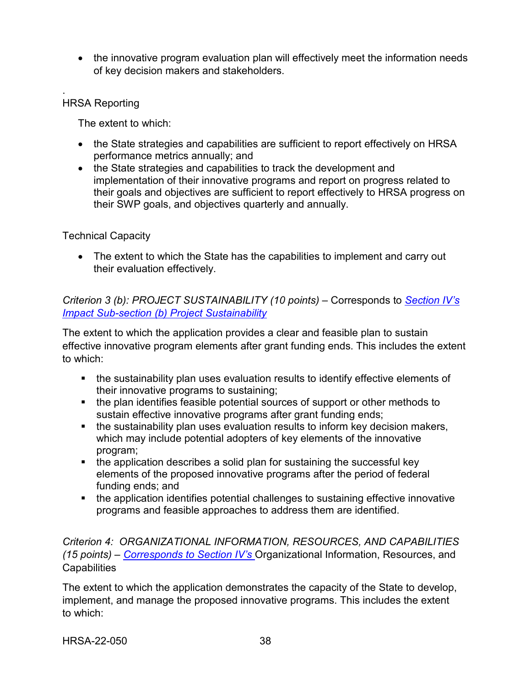• the innovative program evaluation plan will effectively meet the information needs of key decision makers and stakeholders.

#### . HRSA Reporting

The extent to which:

- the State strategies and capabilities are sufficient to report effectively on HRSA performance metrics annually; and
- the State strategies and capabilities to track the development and implementation of their innovative programs and report on progress related to their goals and objectives are sufficient to report effectively to HRSA progress on their SWP goals, and objectives quarterly and annually.

#### Technical Capacity

• The extent to which the State has the capabilities to implement and carry out their evaluation effectively.

<span id="page-41-0"></span>*Criterion 3 (b): PROJECT SUSTAINABILITY (10 points) –* Corresponds to *[Section IV's](#page-26-0)  [Impact Sub-section \(b\) Project Sustainability](#page-26-0)*

The extent to which the application provides a clear and feasible plan to sustain effective innovative program elements after grant funding ends. This includes the extent to which:

- the sustainability plan uses evaluation results to identify effective elements of their innovative programs to sustaining;
- the plan identifies feasible potential sources of support or other methods to sustain effective innovative programs after grant funding ends;
- the sustainability plan uses evaluation results to inform key decision makers, which may include potential adopters of key elements of the innovative program;
- the application describes a solid plan for sustaining the successful key elements of the proposed innovative programs after the period of federal funding ends; and
- the application identifies potential challenges to sustaining effective innovative programs and feasible approaches to address them are identified.

#### <span id="page-41-1"></span>*Criterion 4: ORGANIZATIONAL INFORMATION, RESOURCES, AND CAPABILITIES (15 points) – Corresponds to Section IV's* [Organizational Information, Resources, and](#page-27-0)  **[Capabilities](#page-27-0)**

The extent to which the application demonstrates the capacity of the State to develop, implement, and manage the proposed innovative programs. This includes the extent to which: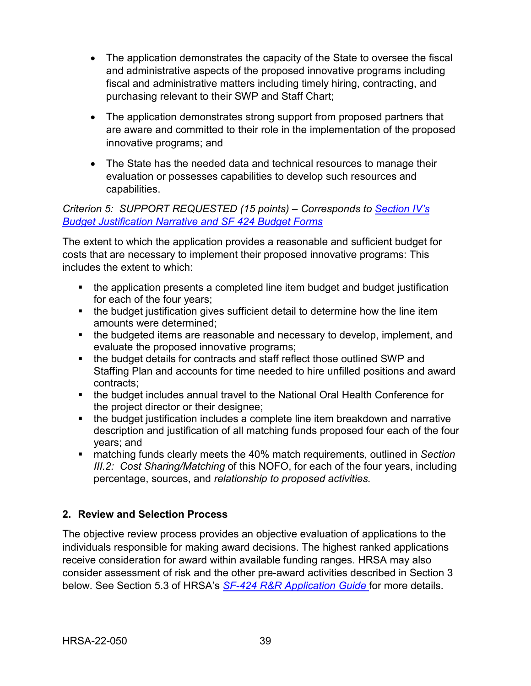- The application demonstrates the capacity of the State to oversee the fiscal and administrative aspects of the proposed innovative programs including fiscal and administrative matters including timely hiring, contracting, and purchasing relevant to their SWP and Staff Chart;
- The application demonstrates strong support from proposed partners that are aware and committed to their role in the implementation of the proposed innovative programs; and
- The State has the needed data and technical resources to manage their evaluation or possesses capabilities to develop such resources and capabilities.

*Criterion 5: SUPPORT REQUESTED (15 points) – Corresponds to [Section IV's](#page-30-0) [Budget Justification Narrative and SF 424 Budget Forms](#page-30-0)*

The extent to which the application provides a reasonable and sufficient budget for costs that are necessary to implement their proposed innovative programs: This includes the extent to which:

- the application presents a completed line item budget and budget justification for each of the four years;
- the budget justification gives sufficient detail to determine how the line item amounts were determined;
- the budgeted items are reasonable and necessary to develop, implement, and evaluate the proposed innovative programs;
- the budget details for contracts and staff reflect those outlined SWP and Staffing Plan and accounts for time needed to hire unfilled positions and award contracts;
- the budget includes annual travel to the National Oral Health Conference for the project director or their designee;
- the budget justification includes a complete line item breakdown and narrative description and justification of all matching funds proposed four each of the four years; and
- matching funds clearly meets the 40% match requirements, outlined in *Section III.2: Cost Sharing/Matching* of this NOFO, for each of the four years, including percentage, sources, and *relationship to proposed activities.*

## <span id="page-42-0"></span>**2. Review and Selection Process**

The objective review process provides an objective evaluation of applications to the individuals responsible for making award decisions. The highest ranked applications receive consideration for award within available funding ranges. HRSA may also consider assessment of risk and the other pre-award activities described in Section 3 below. See Section 5.3 of HRSA's *SF-424 R&R [Application Guide](http://www.hrsa.gov/grants/apply/applicationguide/sf424rrguidev2.pdf)* for more details.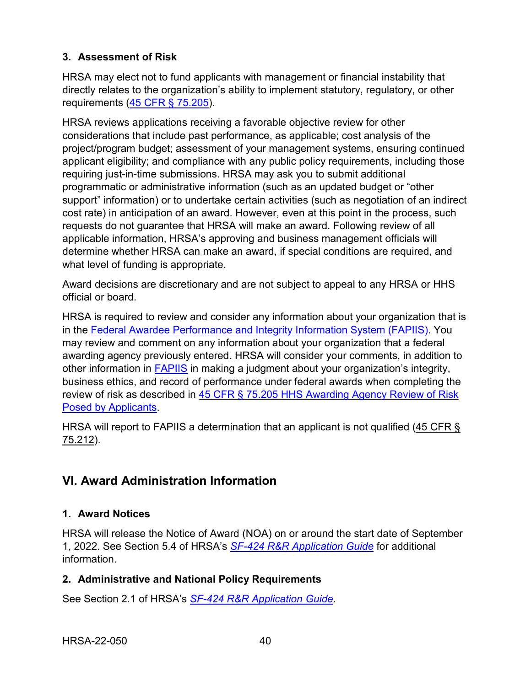## **3. Assessment of Risk**

HRSA may elect not to fund applicants with management or financial instability that directly relates to the organization's ability to implement statutory, regulatory, or other requirements [\(45 CFR § 75.205\)](https://www.ecfr.gov/cgi-bin/retrieveECFR?gp=1&SID=4d52364ec83fab994c665943dadf9cf7&ty=HTML&h=L&r=PART&n=pt45.1.75).

HRSA reviews applications receiving a favorable objective review for other considerations that include past performance, as applicable; cost analysis of the project/program budget; assessment of your management systems, ensuring continued applicant eligibility; and compliance with any public policy requirements, including those requiring just-in-time submissions. HRSA may ask you to submit additional programmatic or administrative information (such as an updated budget or "other support" information) or to undertake certain activities (such as negotiation of an indirect cost rate) in anticipation of an award. However, even at this point in the process, such requests do not guarantee that HRSA will make an award. Following review of all applicable information, HRSA's approving and business management officials will determine whether HRSA can make an award, if special conditions are required, and what level of funding is appropriate.

Award decisions are discretionary and are not subject to appeal to any HRSA or HHS official or board.

HRSA is required to review and consider any information about your organization that is in the [Federal Awardee Performance and Integrity Information System \(FAPIIS\).](https://www.fapiis.gov/) You may review and comment on any information about your organization that a federal awarding agency previously entered. HRSA will consider your comments, in addition to other information in [FAPIIS](https://www.fapiis.gov/) in making a judgment about your organization's integrity, business ethics, and record of performance under federal awards when completing the review of risk as described in [45 CFR § 75.205 HHS Awarding Agency Review of Risk](https://www.ecfr.gov/cgi-bin/retrieveECFR?gp=1&SID=4d52364ec83fab994c665943dadf9cf7&ty=HTML&h=L&r=PART&n=pt45.1.75)  [Posed by Applicants.](https://www.ecfr.gov/cgi-bin/retrieveECFR?gp=1&SID=4d52364ec83fab994c665943dadf9cf7&ty=HTML&h=L&r=PART&n=pt45.1.75)

HRSA will report to FAPIIS a determination that an applicant is not qualified [\(45 CFR §](https://www.ecfr.gov/cgi-bin/retrieveECFR?gp=1&SID=4d52364ec83fab994c665943dadf9cf7&ty=HTML&h=L&r=PART&n=pt45.1.75)  [75.212\)](https://www.ecfr.gov/cgi-bin/retrieveECFR?gp=1&SID=4d52364ec83fab994c665943dadf9cf7&ty=HTML&h=L&r=PART&n=pt45.1.75).

# <span id="page-43-0"></span>**VI. Award Administration Information**

## <span id="page-43-1"></span>**1. Award Notices**

HRSA will release the Notice of Award (NOA) on or around the start date of September 1, 2022. See Section 5.4 of HRSA's *SF-424 [R&R Application Guide](http://www.hrsa.gov/grants/apply/applicationguide/sf424rrguidev2.pdf)* for additional information.

## <span id="page-43-2"></span>**2. Administrative and National Policy Requirements**

See Section 2.1 of HRSA's *SF-424 [R&R Application Guide](http://www.hrsa.gov/grants/apply/applicationguide/sf424rrguidev2.pdf)*.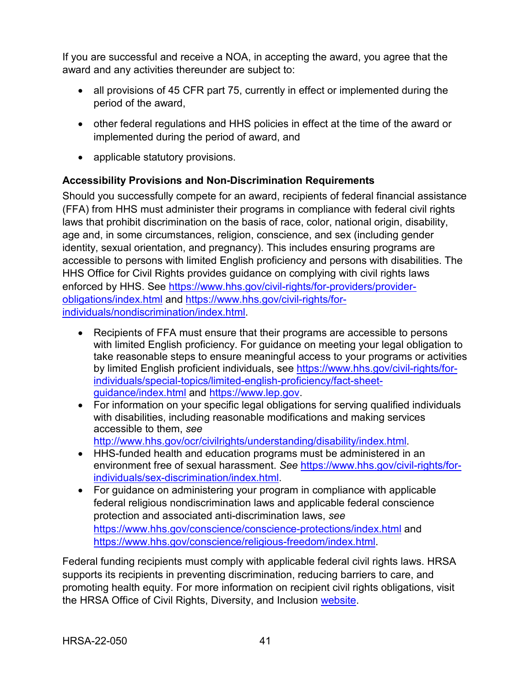If you are successful and receive a NOA, in accepting the award, you agree that the award and any activities thereunder are subject to:

- all provisions of 45 CFR part 75, currently in effect or implemented during the period of the award,
- other federal regulations and HHS policies in effect at the time of the award or implemented during the period of award, and
- applicable statutory provisions.

## **Accessibility Provisions and Non-Discrimination Requirements**

Should you successfully compete for an award, recipients of federal financial assistance (FFA) from HHS must administer their programs in compliance with federal civil rights laws that prohibit discrimination on the basis of race, color, national origin, disability, age and, in some circumstances, religion, conscience, and sex (including gender identity, sexual orientation, and pregnancy). This includes ensuring programs are accessible to persons with limited English proficiency and persons with disabilities. The HHS Office for Civil Rights provides guidance on complying with civil rights laws enforced by HHS. See [https://www.hhs.gov/civil-rights/for-providers/provider](https://www.hhs.gov/civil-rights/for-providers/provider-obligations/index.html)[obligations/index.html](https://www.hhs.gov/civil-rights/for-providers/provider-obligations/index.html) and [https://www.hhs.gov/civil-rights/for](https://www.hhs.gov/civil-rights/for-individuals/nondiscrimination/index.html)[individuals/nondiscrimination/index.html.](https://www.hhs.gov/civil-rights/for-individuals/nondiscrimination/index.html)

- Recipients of FFA must ensure that their programs are accessible to persons with limited English proficiency. For guidance on meeting your legal obligation to take reasonable steps to ensure meaningful access to your programs or activities by limited English proficient individuals, see [https://www.hhs.gov/civil-rights/for](https://www.hhs.gov/civil-rights/for-individuals/special-topics/limited-english-proficiency/fact-sheet-guidance/index.html)[individuals/special-topics/limited-english-proficiency/fact-sheet](https://www.hhs.gov/civil-rights/for-individuals/special-topics/limited-english-proficiency/fact-sheet-guidance/index.html)[guidance/index.html](https://www.hhs.gov/civil-rights/for-individuals/special-topics/limited-english-proficiency/fact-sheet-guidance/index.html) and [https://www.lep.gov.](https://www.lep.gov/)
- For information on your specific legal obligations for serving qualified individuals with disabilities, including reasonable modifications and making services accessible to them, *see*  [http://www.hhs.gov/ocr/civilrights/understanding/disability/index.html.](http://www.hhs.gov/ocr/civilrights/understanding/disability/index.html)
- HHS-funded health and education programs must be administered in an environment free of sexual harassment. *See* [https://www.hhs.gov/civil-rights/for](https://www.hhs.gov/civil-rights/for-individuals/sex-discrimination/index.html)[individuals/sex-discrimination/index.html.](https://www.hhs.gov/civil-rights/for-individuals/sex-discrimination/index.html)
- For guidance on administering your program in compliance with applicable federal religious nondiscrimination laws and applicable federal conscience protection and associated anti-discrimination laws, *see*  <https://www.hhs.gov/conscience/conscience-protections/index.html> and [https://www.hhs.gov/conscience/religious-freedom/index.html.](https://www.hhs.gov/conscience/religious-freedom/index.html)

Federal funding recipients must comply with applicable federal civil rights laws. HRSA supports its recipients in preventing discrimination, reducing barriers to care, and promoting health equity. For more information on recipient civil rights obligations, visit the HRSA Office of Civil Rights, Diversity, and Inclusion [website.](https://www.hrsa.gov/about/organization/bureaus/ocrdi#recipients)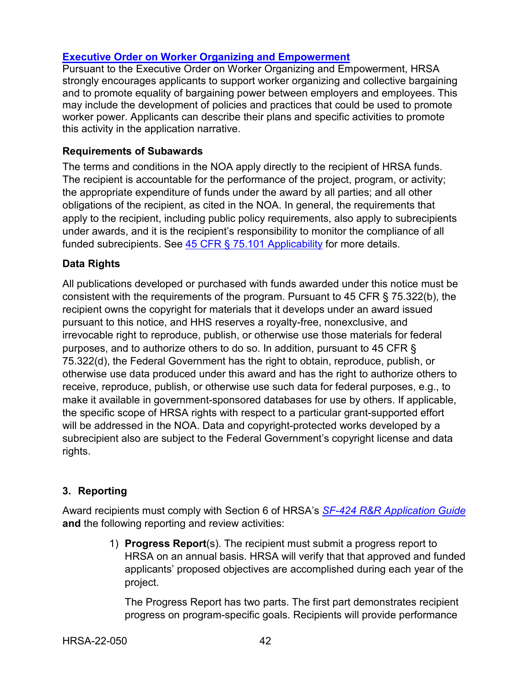## **[Executive Order on Worker Organizing and Empowerment](https://www.whitehouse.gov/briefing-room/presidential-actions/2021/04/26/executive-order-on-worker-organizing-and-empowerment/)**

Pursuant to the Executive Order on Worker Organizing and Empowerment, HRSA strongly encourages applicants to support worker organizing and collective bargaining and to promote equality of bargaining power between employers and employees. This may include the development of policies and practices that could be used to promote worker power. Applicants can describe their plans and specific activities to promote this activity in the application narrative.

#### **Requirements of Subawards**

The terms and conditions in the NOA apply directly to the recipient of HRSA funds. The recipient is accountable for the performance of the project, program, or activity; the appropriate expenditure of funds under the award by all parties; and all other obligations of the recipient, as cited in the NOA. In general, the requirements that apply to the recipient, including public policy requirements, also apply to subrecipients under awards, and it is the recipient's responsibility to monitor the compliance of all funded subrecipients. See [45 CFR § 75.101 Applicability](https://www.ecfr.gov/cgi-bin/retrieveECFR?gp=1&SID=4d52364ec83fab994c665943dadf9cf7&ty=HTML&h=L&r=PART&n=pt45.1.75) for more details.

#### **Data Rights**

All publications developed or purchased with funds awarded under this notice must be consistent with the requirements of the program. Pursuant to 45 CFR § 75.322(b), the recipient owns the copyright for materials that it develops under an award issued pursuant to this notice, and HHS reserves a royalty-free, nonexclusive, and irrevocable right to reproduce, publish, or otherwise use those materials for federal purposes, and to authorize others to do so. In addition, pursuant to 45 CFR § 75.322(d), the Federal Government has the right to obtain, reproduce, publish, or otherwise use data produced under this award and has the right to authorize others to receive, reproduce, publish, or otherwise use such data for federal purposes, e.g., to make it available in government-sponsored databases for use by others. If applicable, the specific scope of HRSA rights with respect to a particular grant-supported effort will be addressed in the NOA. Data and copyright-protected works developed by a subrecipient also are subject to the Federal Government's copyright license and data rights.

## <span id="page-45-0"></span>**3. Reporting**

Award recipients must comply with Section 6 of HRSA's *SF-424 [R&R Application Guide](http://www.hrsa.gov/grants/apply/applicationguide/sf424rrguidev2.pdf)* **and** the following reporting and review activities:

> 1) **Progress Report**(s). The recipient must submit a progress report to HRSA on an annual basis. HRSA will verify that that approved and funded applicants' proposed objectives are accomplished during each year of the project.

The Progress Report has two parts. The first part demonstrates recipient progress on program-specific goals. Recipients will provide performance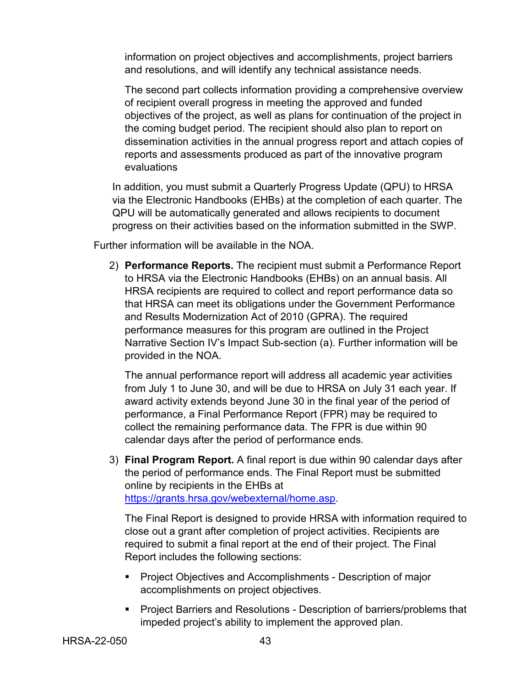information on project objectives and accomplishments, project barriers and resolutions, and will identify any technical assistance needs.

The second part collects information providing a comprehensive overview of recipient overall progress in meeting the approved and funded objectives of the project, as well as plans for continuation of the project in the coming budget period. The recipient should also plan to report on dissemination activities in the annual progress report and attach copies of reports and assessments produced as part of the innovative program evaluations

In addition, you must submit a Quarterly Progress Update (QPU) to HRSA via the Electronic Handbooks (EHBs) at the completion of each quarter. The QPU will be automatically generated and allows recipients to document progress on their activities based on the information submitted in the SWP.

Further information will be available in the NOA.

2) **Performance Reports.** The recipient must submit a Performance Report to HRSA via the Electronic Handbooks (EHBs) on an annual basis. All HRSA recipients are required to collect and report performance data so that HRSA can meet its obligations under the Government Performance and Results Modernization Act of 2010 (GPRA). The required performance measures for this program are outlined in the Project Narrative Section IV's Impact Sub-section (a). Further information will be provided in the NOA.

The annual performance report will address all academic year activities from July 1 to June 30, and will be due to HRSA on July 31 each year. If award activity extends beyond June 30 in the final year of the period of performance, a Final Performance Report (FPR) may be required to collect the remaining performance data. The FPR is due within 90 calendar days after the period of performance ends.

3) **Final Program Report.** A final report is due within 90 calendar days after the period of performance ends. The Final Report must be submitted online by recipients in the EHBs at [https://grants.hrsa.gov/webexternal/home.asp.](https://grants.hrsa.gov/webexternal/home.asp)

The Final Report is designed to provide HRSA with information required to close out a grant after completion of project activities. Recipients are required to submit a final report at the end of their project. The Final Report includes the following sections:

- **Project Objectives and Accomplishments Description of major** accomplishments on project objectives.
- Project Barriers and Resolutions Description of barriers/problems that impeded project's ability to implement the approved plan.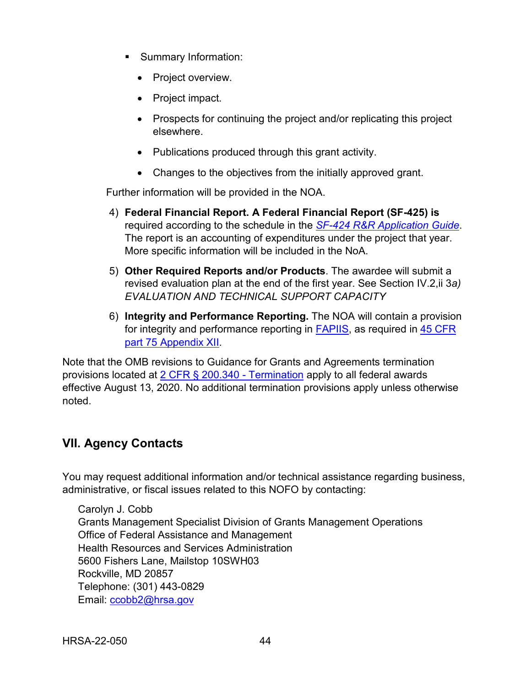- **Summary Information:** 
	- Project overview.
	- Project impact.
	- Prospects for continuing the project and/or replicating this project elsewhere.
	- Publications produced through this grant activity.
	- Changes to the objectives from the initially approved grant.

Further information will be provided in the NOA.

- 4) **Federal Financial Report. A Federal Financial Report (SF-425) is** required according to the schedule in the *SF-424 [R&R Application Guide](http://www.hrsa.gov/grants/apply/applicationguide/sf424rrguidev2.pdf)*. The report is an accounting of expenditures under the project that year. More specific information will be included in the NoA.
- 5) **Other Required Reports and/or Products**. The awardee will submit a revised evaluation plan at the end of the first year. See Section IV.2,ii 3*a) EVALUATION AND TECHNICAL SUPPORT CAPACITY*
- 6) **Integrity and Performance Reporting.** The NOA will contain a provision for integrity and performance reporting in [FAPIIS,](https://www.fapiis.gov/) as required in 45 CFR [part 75 Appendix XII.](https://www.ecfr.gov/cgi-bin/retrieveECFR?gp=1&SID=4d52364ec83fab994c665943dadf9cf7&ty=HTML&h=L&r=PART&n=pt45.1.75)

Note that the OMB revisions to Guidance for Grants and Agreements termination provisions located at [2 CFR § 200.340 -](https://www.ecfr.gov/cgi-bin/text-idx?SID=da67ef9e79256f1b11e99d2ecb083228&mc=true&node=se2.1.200_1340&rgn=div8) Termination apply to all federal awards effective August 13, 2020. No additional termination provisions apply unless otherwise noted.

## <span id="page-47-1"></span><span id="page-47-0"></span>**VII. Agency Contacts**

You may request additional information and/or technical assistance regarding business, administrative, or fiscal issues related to this NOFO by contacting:

Carolyn J. Cobb Grants Management Specialist Division of Grants Management Operations Office of Federal Assistance and Management Health Resources and Services Administration 5600 Fishers Lane, Mailstop 10SWH03 Rockville, MD 20857 Telephone: (301) 443-0829 Email: [ccobb2@hrsa.gov](mailto:ccobb2@hrsa.gov)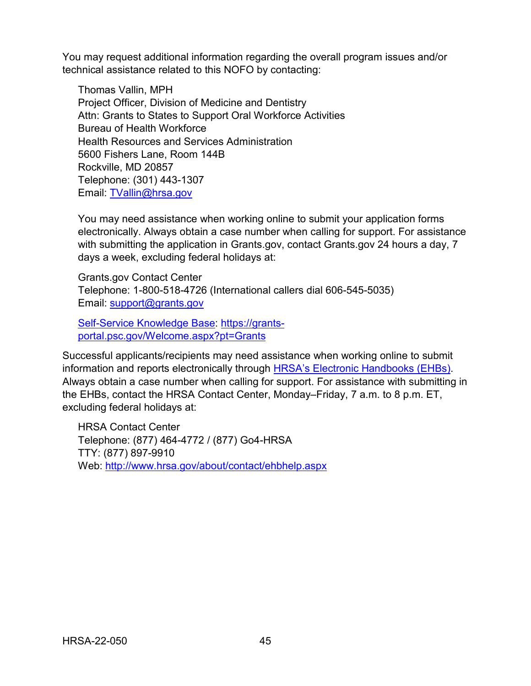You may request additional information regarding the overall program issues and/or technical assistance related to this NOFO by contacting:

Thomas Vallin, MPH Project Officer, Division of Medicine and Dentistry Attn: Grants to States to Support Oral Workforce Activities Bureau of Health Workforce Health Resources and Services Administration 5600 Fishers Lane, Room 144B Rockville, MD 20857 Telephone: (301) 443-1307 Email: [TVallin@hrsa.gov](mailto:TVallin@hrsa.gov)

You may need assistance when working online to submit your application forms electronically. Always obtain a case number when calling for support. For assistance with submitting the application in Grants.gov, contact Grants.gov 24 hours a day, 7 days a week, excluding federal holidays at:

Grants.gov Contact Center Telephone: 1-800-518-4726 (International callers dial 606-545-5035) Email: [support@grants.gov](mailto:support@grants.gov)

[Self-Service Knowledge Base:](https://gditshared.servicenowservices.com/hhs_grants?pt=Grants) [https://grants](https://grants-portal.psc.gov/Welcome.aspx?pt=Grants)[portal.psc.gov/Welcome.aspx?pt=Grants](https://grants-portal.psc.gov/Welcome.aspx?pt=Grants)

Successful applicants/recipients may need assistance when working online to submit information and reports electronically through [HRSA's Electronic Handbooks \(EHBs\).](https://grants.hrsa.gov/2010/WebEPSExternal/Interface/Common/AccessControl/Login.aspx) Always obtain a case number when calling for support. For assistance with submitting in the EHBs, contact the HRSA Contact Center, Monday–Friday, 7 a.m. to 8 p.m. ET, excluding federal holidays at:

HRSA Contact Center Telephone: (877) 464-4772 / (877) Go4-HRSA TTY: (877) 897-9910 Web: <http://www.hrsa.gov/about/contact/ehbhelp.aspx>